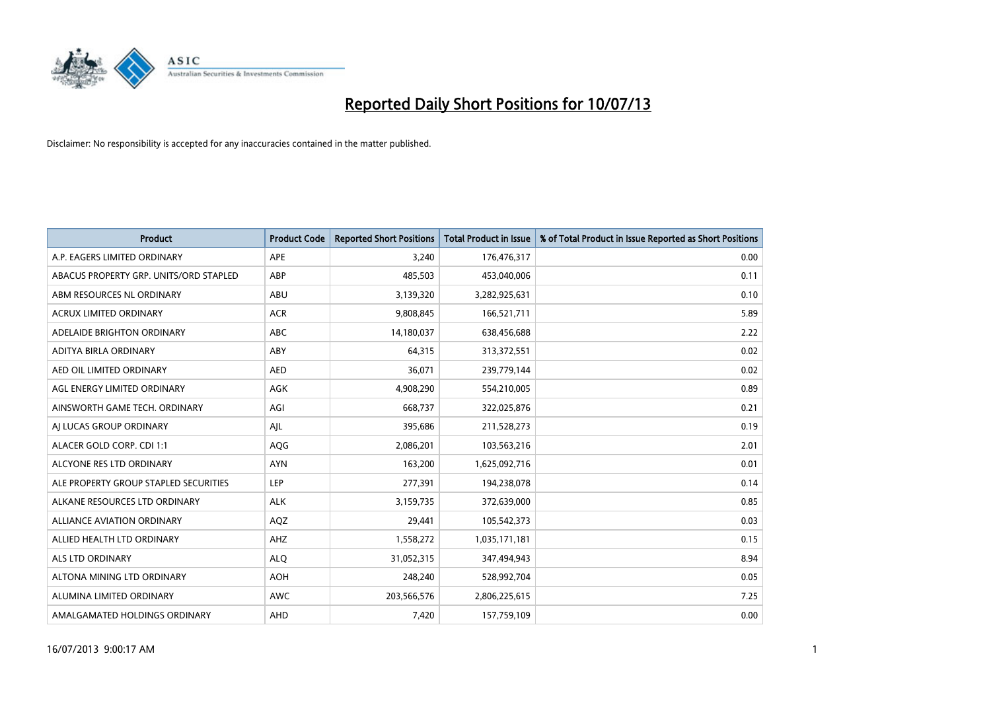

| <b>Product</b>                         | <b>Product Code</b> | <b>Reported Short Positions</b> | <b>Total Product in Issue</b> | % of Total Product in Issue Reported as Short Positions |
|----------------------------------------|---------------------|---------------------------------|-------------------------------|---------------------------------------------------------|
| A.P. EAGERS LIMITED ORDINARY           | APE                 | 3,240                           | 176,476,317                   | 0.00                                                    |
| ABACUS PROPERTY GRP. UNITS/ORD STAPLED | ABP                 | 485,503                         | 453,040,006                   | 0.11                                                    |
| ABM RESOURCES NL ORDINARY              | ABU                 | 3,139,320                       | 3,282,925,631                 | 0.10                                                    |
| <b>ACRUX LIMITED ORDINARY</b>          | <b>ACR</b>          | 9,808,845                       | 166,521,711                   | 5.89                                                    |
| ADELAIDE BRIGHTON ORDINARY             | <b>ABC</b>          | 14,180,037                      | 638,456,688                   | 2.22                                                    |
| ADITYA BIRLA ORDINARY                  | ABY                 | 64,315                          | 313,372,551                   | 0.02                                                    |
| AED OIL LIMITED ORDINARY               | <b>AED</b>          | 36,071                          | 239,779,144                   | 0.02                                                    |
| AGL ENERGY LIMITED ORDINARY            | AGK                 | 4,908,290                       | 554,210,005                   | 0.89                                                    |
| AINSWORTH GAME TECH. ORDINARY          | AGI                 | 668,737                         | 322,025,876                   | 0.21                                                    |
| AI LUCAS GROUP ORDINARY                | AJL                 | 395,686                         | 211,528,273                   | 0.19                                                    |
| ALACER GOLD CORP. CDI 1:1              | AQG                 | 2,086,201                       | 103,563,216                   | 2.01                                                    |
| ALCYONE RES LTD ORDINARY               | <b>AYN</b>          | 163,200                         | 1,625,092,716                 | 0.01                                                    |
| ALE PROPERTY GROUP STAPLED SECURITIES  | LEP                 | 277,391                         | 194,238,078                   | 0.14                                                    |
| ALKANE RESOURCES LTD ORDINARY          | <b>ALK</b>          | 3,159,735                       | 372,639,000                   | 0.85                                                    |
| ALLIANCE AVIATION ORDINARY             | AQZ                 | 29,441                          | 105,542,373                   | 0.03                                                    |
| ALLIED HEALTH LTD ORDINARY             | AHZ                 | 1,558,272                       | 1,035,171,181                 | 0.15                                                    |
| ALS LTD ORDINARY                       | <b>ALQ</b>          | 31,052,315                      | 347,494,943                   | 8.94                                                    |
| ALTONA MINING LTD ORDINARY             | <b>AOH</b>          | 248,240                         | 528,992,704                   | 0.05                                                    |
| ALUMINA LIMITED ORDINARY               | <b>AWC</b>          | 203,566,576                     | 2,806,225,615                 | 7.25                                                    |
| AMALGAMATED HOLDINGS ORDINARY          | AHD                 | 7,420                           | 157,759,109                   | 0.00                                                    |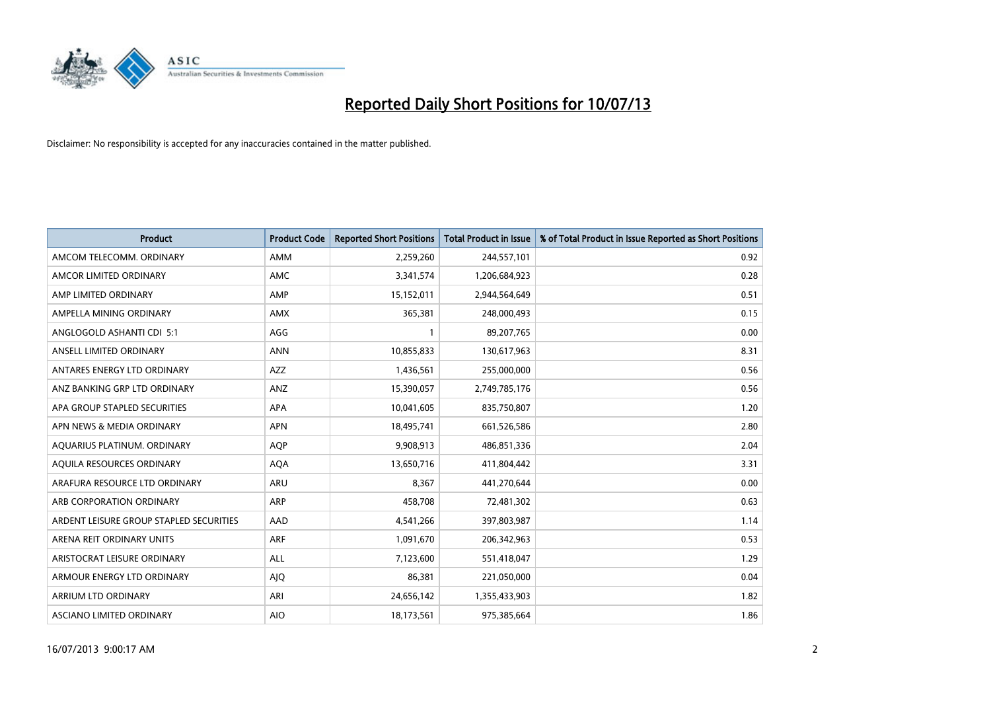

| <b>Product</b>                          | <b>Product Code</b> | <b>Reported Short Positions</b> | <b>Total Product in Issue</b> | % of Total Product in Issue Reported as Short Positions |
|-----------------------------------------|---------------------|---------------------------------|-------------------------------|---------------------------------------------------------|
| AMCOM TELECOMM, ORDINARY                | AMM                 | 2,259,260                       | 244,557,101                   | 0.92                                                    |
| AMCOR LIMITED ORDINARY                  | AMC                 | 3,341,574                       | 1,206,684,923                 | 0.28                                                    |
| AMP LIMITED ORDINARY                    | AMP                 | 15,152,011                      | 2,944,564,649                 | 0.51                                                    |
| AMPELLA MINING ORDINARY                 | AMX                 | 365,381                         | 248,000,493                   | 0.15                                                    |
| ANGLOGOLD ASHANTI CDI 5:1               | AGG                 | $\mathbf{1}$                    | 89,207,765                    | 0.00                                                    |
| ANSELL LIMITED ORDINARY                 | <b>ANN</b>          | 10,855,833                      | 130,617,963                   | 8.31                                                    |
| ANTARES ENERGY LTD ORDINARY             | AZZ                 | 1,436,561                       | 255,000,000                   | 0.56                                                    |
| ANZ BANKING GRP LTD ORDINARY            | ANZ                 | 15,390,057                      | 2,749,785,176                 | 0.56                                                    |
| APA GROUP STAPLED SECURITIES            | <b>APA</b>          | 10,041,605                      | 835,750,807                   | 1.20                                                    |
| APN NEWS & MEDIA ORDINARY               | <b>APN</b>          | 18,495,741                      | 661,526,586                   | 2.80                                                    |
| AQUARIUS PLATINUM. ORDINARY             | <b>AOP</b>          | 9,908,913                       | 486,851,336                   | 2.04                                                    |
| AQUILA RESOURCES ORDINARY               | <b>AQA</b>          | 13,650,716                      | 411,804,442                   | 3.31                                                    |
| ARAFURA RESOURCE LTD ORDINARY           | ARU                 | 8,367                           | 441,270,644                   | 0.00                                                    |
| ARB CORPORATION ORDINARY                | ARP                 | 458,708                         | 72,481,302                    | 0.63                                                    |
| ARDENT LEISURE GROUP STAPLED SECURITIES | AAD                 | 4,541,266                       | 397,803,987                   | 1.14                                                    |
| ARENA REIT ORDINARY UNITS               | <b>ARF</b>          | 1,091,670                       | 206,342,963                   | 0.53                                                    |
| ARISTOCRAT LEISURE ORDINARY             | ALL                 | 7,123,600                       | 551,418,047                   | 1.29                                                    |
| ARMOUR ENERGY LTD ORDINARY              | <b>AJQ</b>          | 86,381                          | 221,050,000                   | 0.04                                                    |
| ARRIUM LTD ORDINARY                     | ARI                 | 24,656,142                      | 1,355,433,903                 | 1.82                                                    |
| ASCIANO LIMITED ORDINARY                | <b>AIO</b>          | 18,173,561                      | 975,385,664                   | 1.86                                                    |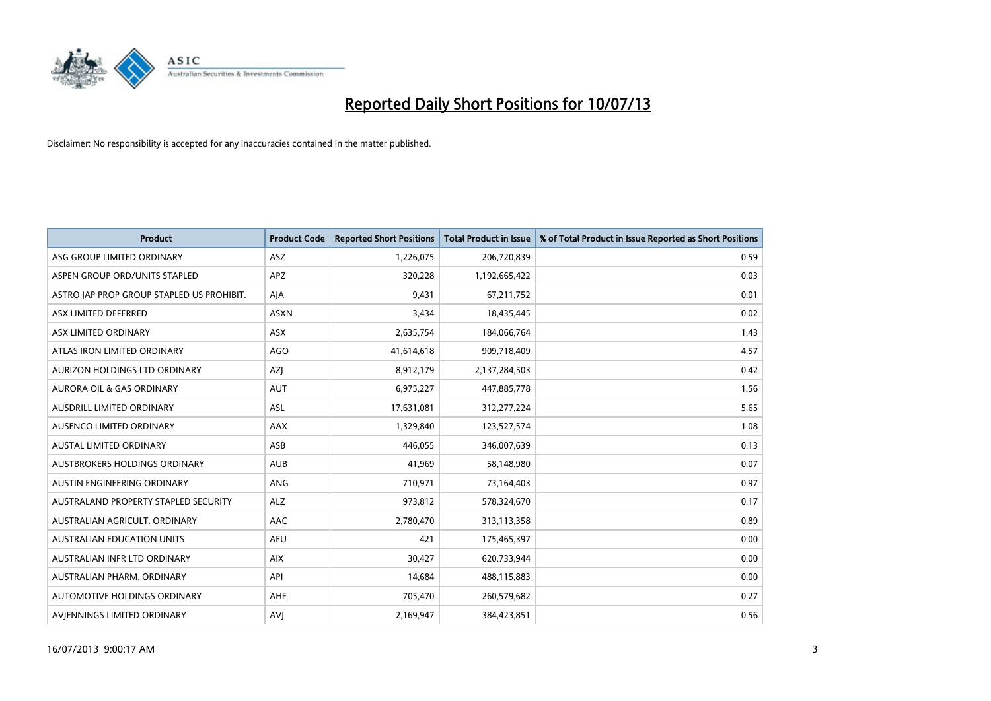

| <b>Product</b>                            | <b>Product Code</b> | <b>Reported Short Positions</b> | <b>Total Product in Issue</b> | % of Total Product in Issue Reported as Short Positions |
|-------------------------------------------|---------------------|---------------------------------|-------------------------------|---------------------------------------------------------|
| ASG GROUP LIMITED ORDINARY                | ASZ                 | 1,226,075                       | 206,720,839                   | 0.59                                                    |
| ASPEN GROUP ORD/UNITS STAPLED             | <b>APZ</b>          | 320,228                         | 1,192,665,422                 | 0.03                                                    |
| ASTRO JAP PROP GROUP STAPLED US PROHIBIT. | AJA                 | 9,431                           | 67,211,752                    | 0.01                                                    |
| ASX LIMITED DEFERRED                      | <b>ASXN</b>         | 3,434                           | 18,435,445                    | 0.02                                                    |
| ASX LIMITED ORDINARY                      | ASX                 | 2,635,754                       | 184,066,764                   | 1.43                                                    |
| ATLAS IRON LIMITED ORDINARY               | AGO                 | 41,614,618                      | 909,718,409                   | 4.57                                                    |
| AURIZON HOLDINGS LTD ORDINARY             | AZJ                 | 8,912,179                       | 2,137,284,503                 | 0.42                                                    |
| AURORA OIL & GAS ORDINARY                 | <b>AUT</b>          | 6,975,227                       | 447,885,778                   | 1.56                                                    |
| AUSDRILL LIMITED ORDINARY                 | ASL                 | 17,631,081                      | 312,277,224                   | 5.65                                                    |
| AUSENCO LIMITED ORDINARY                  | AAX                 | 1,329,840                       | 123,527,574                   | 1.08                                                    |
| AUSTAL LIMITED ORDINARY                   | ASB                 | 446,055                         | 346,007,639                   | 0.13                                                    |
| AUSTBROKERS HOLDINGS ORDINARY             | <b>AUB</b>          | 41,969                          | 58,148,980                    | 0.07                                                    |
| AUSTIN ENGINEERING ORDINARY               | ANG                 | 710,971                         | 73,164,403                    | 0.97                                                    |
| AUSTRALAND PROPERTY STAPLED SECURITY      | <b>ALZ</b>          | 973,812                         | 578,324,670                   | 0.17                                                    |
| AUSTRALIAN AGRICULT. ORDINARY             | AAC                 | 2,780,470                       | 313,113,358                   | 0.89                                                    |
| <b>AUSTRALIAN EDUCATION UNITS</b>         | <b>AEU</b>          | 421                             | 175,465,397                   | 0.00                                                    |
| AUSTRALIAN INFR LTD ORDINARY              | <b>AIX</b>          | 30,427                          | 620,733,944                   | 0.00                                                    |
| AUSTRALIAN PHARM, ORDINARY                | API                 | 14,684                          | 488,115,883                   | 0.00                                                    |
| <b>AUTOMOTIVE HOLDINGS ORDINARY</b>       | <b>AHE</b>          | 705,470                         | 260,579,682                   | 0.27                                                    |
| AVJENNINGS LIMITED ORDINARY               | <b>AVJ</b>          | 2,169,947                       | 384,423,851                   | 0.56                                                    |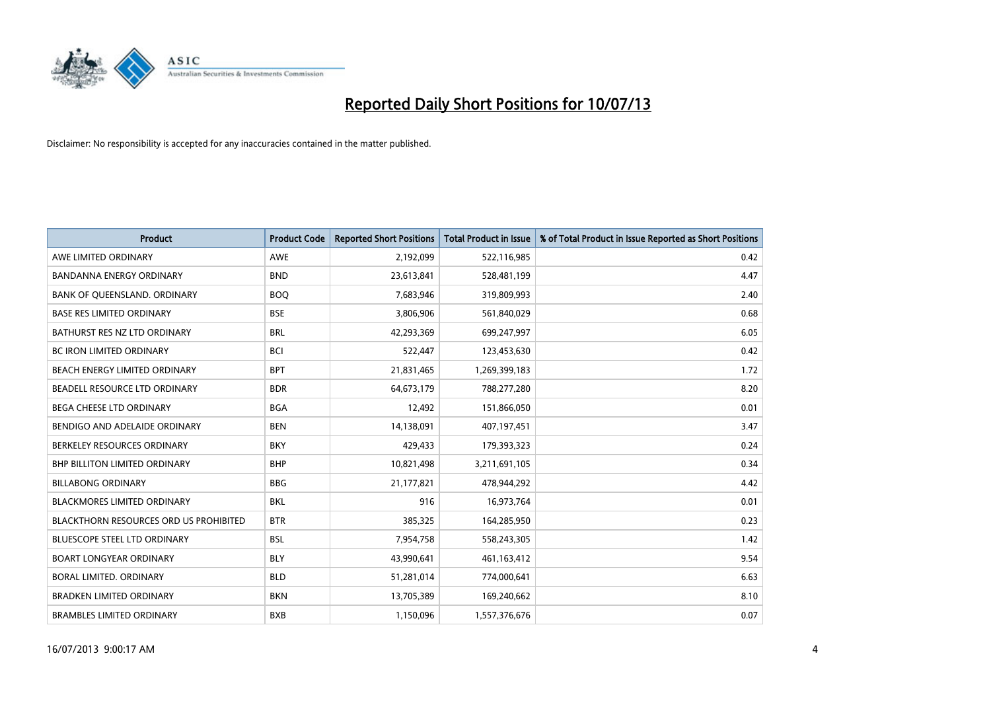

| <b>Product</b>                                | <b>Product Code</b> | <b>Reported Short Positions</b> | <b>Total Product in Issue</b> | % of Total Product in Issue Reported as Short Positions |
|-----------------------------------------------|---------------------|---------------------------------|-------------------------------|---------------------------------------------------------|
| AWE LIMITED ORDINARY                          | <b>AWE</b>          | 2,192,099                       | 522,116,985                   | 0.42                                                    |
| <b>BANDANNA ENERGY ORDINARY</b>               | <b>BND</b>          | 23,613,841                      | 528,481,199                   | 4.47                                                    |
| BANK OF QUEENSLAND. ORDINARY                  | <b>BOQ</b>          | 7,683,946                       | 319,809,993                   | 2.40                                                    |
| <b>BASE RES LIMITED ORDINARY</b>              | <b>BSE</b>          | 3,806,906                       | 561,840,029                   | 0.68                                                    |
| BATHURST RES NZ LTD ORDINARY                  | <b>BRL</b>          | 42,293,369                      | 699,247,997                   | 6.05                                                    |
| <b>BC IRON LIMITED ORDINARY</b>               | <b>BCI</b>          | 522,447                         | 123,453,630                   | 0.42                                                    |
| BEACH ENERGY LIMITED ORDINARY                 | <b>BPT</b>          | 21,831,465                      | 1,269,399,183                 | 1.72                                                    |
| BEADELL RESOURCE LTD ORDINARY                 | <b>BDR</b>          | 64,673,179                      | 788,277,280                   | 8.20                                                    |
| BEGA CHEESE LTD ORDINARY                      | <b>BGA</b>          | 12,492                          | 151,866,050                   | 0.01                                                    |
| BENDIGO AND ADELAIDE ORDINARY                 | <b>BEN</b>          | 14,138,091                      | 407,197,451                   | 3.47                                                    |
| BERKELEY RESOURCES ORDINARY                   | <b>BKY</b>          | 429,433                         | 179,393,323                   | 0.24                                                    |
| <b>BHP BILLITON LIMITED ORDINARY</b>          | <b>BHP</b>          | 10,821,498                      | 3,211,691,105                 | 0.34                                                    |
| <b>BILLABONG ORDINARY</b>                     | <b>BBG</b>          | 21,177,821                      | 478,944,292                   | 4.42                                                    |
| <b>BLACKMORES LIMITED ORDINARY</b>            | <b>BKL</b>          | 916                             | 16,973,764                    | 0.01                                                    |
| <b>BLACKTHORN RESOURCES ORD US PROHIBITED</b> | <b>BTR</b>          | 385,325                         | 164,285,950                   | 0.23                                                    |
| <b>BLUESCOPE STEEL LTD ORDINARY</b>           | <b>BSL</b>          | 7,954,758                       | 558,243,305                   | 1.42                                                    |
| <b>BOART LONGYEAR ORDINARY</b>                | <b>BLY</b>          | 43,990,641                      | 461,163,412                   | 9.54                                                    |
| BORAL LIMITED, ORDINARY                       | <b>BLD</b>          | 51,281,014                      | 774,000,641                   | 6.63                                                    |
| <b>BRADKEN LIMITED ORDINARY</b>               | <b>BKN</b>          | 13,705,389                      | 169,240,662                   | 8.10                                                    |
| <b>BRAMBLES LIMITED ORDINARY</b>              | <b>BXB</b>          | 1,150,096                       | 1,557,376,676                 | 0.07                                                    |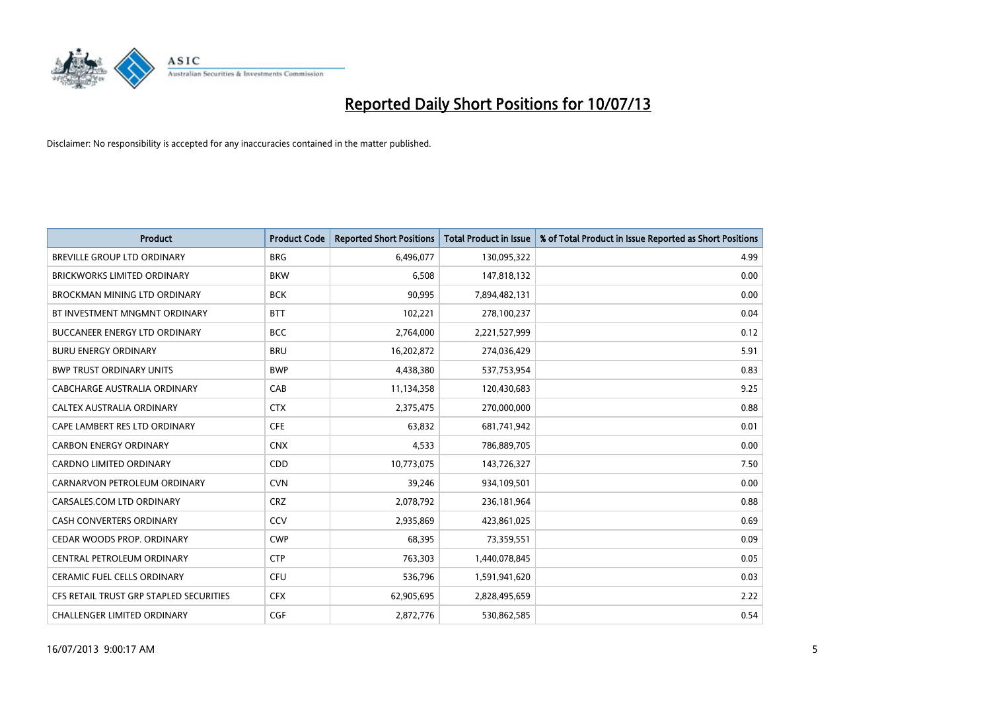

| <b>Product</b>                          | <b>Product Code</b> | <b>Reported Short Positions</b> | <b>Total Product in Issue</b> | % of Total Product in Issue Reported as Short Positions |
|-----------------------------------------|---------------------|---------------------------------|-------------------------------|---------------------------------------------------------|
| <b>BREVILLE GROUP LTD ORDINARY</b>      | <b>BRG</b>          | 6,496,077                       | 130,095,322                   | 4.99                                                    |
| <b>BRICKWORKS LIMITED ORDINARY</b>      | <b>BKW</b>          | 6,508                           | 147,818,132                   | 0.00                                                    |
| BROCKMAN MINING LTD ORDINARY            | <b>BCK</b>          | 90,995                          | 7,894,482,131                 | 0.00                                                    |
| BT INVESTMENT MNGMNT ORDINARY           | <b>BTT</b>          | 102,221                         | 278,100,237                   | 0.04                                                    |
| <b>BUCCANEER ENERGY LTD ORDINARY</b>    | <b>BCC</b>          | 2,764,000                       | 2,221,527,999                 | 0.12                                                    |
| <b>BURU ENERGY ORDINARY</b>             | <b>BRU</b>          | 16,202,872                      | 274,036,429                   | 5.91                                                    |
| <b>BWP TRUST ORDINARY UNITS</b>         | <b>BWP</b>          | 4,438,380                       | 537,753,954                   | 0.83                                                    |
| CABCHARGE AUSTRALIA ORDINARY            | CAB                 | 11,134,358                      | 120,430,683                   | 9.25                                                    |
| CALTEX AUSTRALIA ORDINARY               | <b>CTX</b>          | 2,375,475                       | 270,000,000                   | 0.88                                                    |
| CAPE LAMBERT RES LTD ORDINARY           | <b>CFE</b>          | 63,832                          | 681,741,942                   | 0.01                                                    |
| <b>CARBON ENERGY ORDINARY</b>           | <b>CNX</b>          | 4,533                           | 786,889,705                   | 0.00                                                    |
| <b>CARDNO LIMITED ORDINARY</b>          | CDD                 | 10,773,075                      | 143,726,327                   | 7.50                                                    |
| CARNARVON PETROLEUM ORDINARY            | <b>CVN</b>          | 39,246                          | 934,109,501                   | 0.00                                                    |
| CARSALES.COM LTD ORDINARY               | <b>CRZ</b>          | 2,078,792                       | 236,181,964                   | 0.88                                                    |
| <b>CASH CONVERTERS ORDINARY</b>         | CCV                 | 2,935,869                       | 423,861,025                   | 0.69                                                    |
| CEDAR WOODS PROP. ORDINARY              | <b>CWP</b>          | 68,395                          | 73,359,551                    | 0.09                                                    |
| CENTRAL PETROLEUM ORDINARY              | <b>CTP</b>          | 763,303                         | 1,440,078,845                 | 0.05                                                    |
| <b>CERAMIC FUEL CELLS ORDINARY</b>      | <b>CFU</b>          | 536,796                         | 1,591,941,620                 | 0.03                                                    |
| CFS RETAIL TRUST GRP STAPLED SECURITIES | <b>CFX</b>          | 62,905,695                      | 2,828,495,659                 | 2.22                                                    |
| <b>CHALLENGER LIMITED ORDINARY</b>      | <b>CGF</b>          | 2,872,776                       | 530,862,585                   | 0.54                                                    |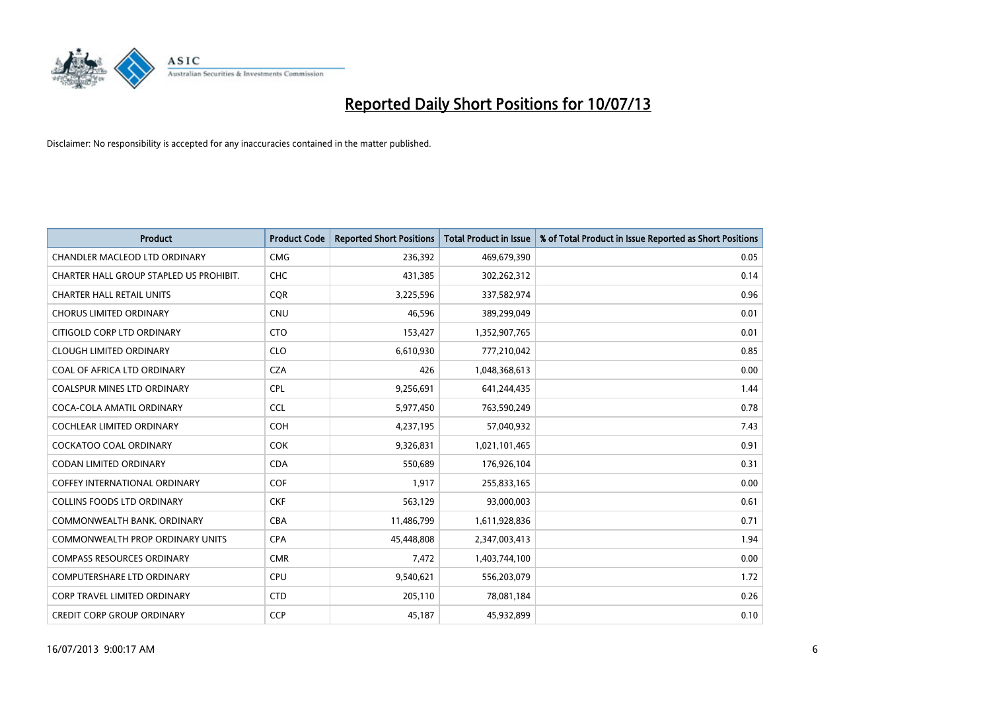

| <b>Product</b>                          | <b>Product Code</b> | <b>Reported Short Positions</b> | <b>Total Product in Issue</b> | % of Total Product in Issue Reported as Short Positions |
|-----------------------------------------|---------------------|---------------------------------|-------------------------------|---------------------------------------------------------|
| CHANDLER MACLEOD LTD ORDINARY           | <b>CMG</b>          | 236,392                         | 469,679,390                   | 0.05                                                    |
| CHARTER HALL GROUP STAPLED US PROHIBIT. | <b>CHC</b>          | 431,385                         | 302,262,312                   | 0.14                                                    |
| <b>CHARTER HALL RETAIL UNITS</b>        | <b>COR</b>          | 3,225,596                       | 337,582,974                   | 0.96                                                    |
| <b>CHORUS LIMITED ORDINARY</b>          | <b>CNU</b>          | 46,596                          | 389,299,049                   | 0.01                                                    |
| CITIGOLD CORP LTD ORDINARY              | <b>CTO</b>          | 153,427                         | 1,352,907,765                 | 0.01                                                    |
| <b>CLOUGH LIMITED ORDINARY</b>          | <b>CLO</b>          | 6,610,930                       | 777,210,042                   | 0.85                                                    |
| COAL OF AFRICA LTD ORDINARY             | <b>CZA</b>          | 426                             | 1,048,368,613                 | 0.00                                                    |
| COALSPUR MINES LTD ORDINARY             | <b>CPL</b>          | 9,256,691                       | 641,244,435                   | 1.44                                                    |
| COCA-COLA AMATIL ORDINARY               | <b>CCL</b>          | 5,977,450                       | 763,590,249                   | 0.78                                                    |
| <b>COCHLEAR LIMITED ORDINARY</b>        | <b>COH</b>          | 4,237,195                       | 57,040,932                    | 7.43                                                    |
| COCKATOO COAL ORDINARY                  | <b>COK</b>          | 9,326,831                       | 1,021,101,465                 | 0.91                                                    |
| CODAN LIMITED ORDINARY                  | <b>CDA</b>          | 550,689                         | 176,926,104                   | 0.31                                                    |
| <b>COFFEY INTERNATIONAL ORDINARY</b>    | <b>COF</b>          | 1,917                           | 255,833,165                   | 0.00                                                    |
| <b>COLLINS FOODS LTD ORDINARY</b>       | <b>CKF</b>          | 563,129                         | 93,000,003                    | 0.61                                                    |
| COMMONWEALTH BANK, ORDINARY             | <b>CBA</b>          | 11,486,799                      | 1,611,928,836                 | 0.71                                                    |
| <b>COMMONWEALTH PROP ORDINARY UNITS</b> | <b>CPA</b>          | 45,448,808                      | 2,347,003,413                 | 1.94                                                    |
| <b>COMPASS RESOURCES ORDINARY</b>       | <b>CMR</b>          | 7,472                           | 1,403,744,100                 | 0.00                                                    |
| <b>COMPUTERSHARE LTD ORDINARY</b>       | <b>CPU</b>          | 9,540,621                       | 556,203,079                   | 1.72                                                    |
| <b>CORP TRAVEL LIMITED ORDINARY</b>     | <b>CTD</b>          | 205,110                         | 78,081,184                    | 0.26                                                    |
| <b>CREDIT CORP GROUP ORDINARY</b>       | <b>CCP</b>          | 45,187                          | 45,932,899                    | 0.10                                                    |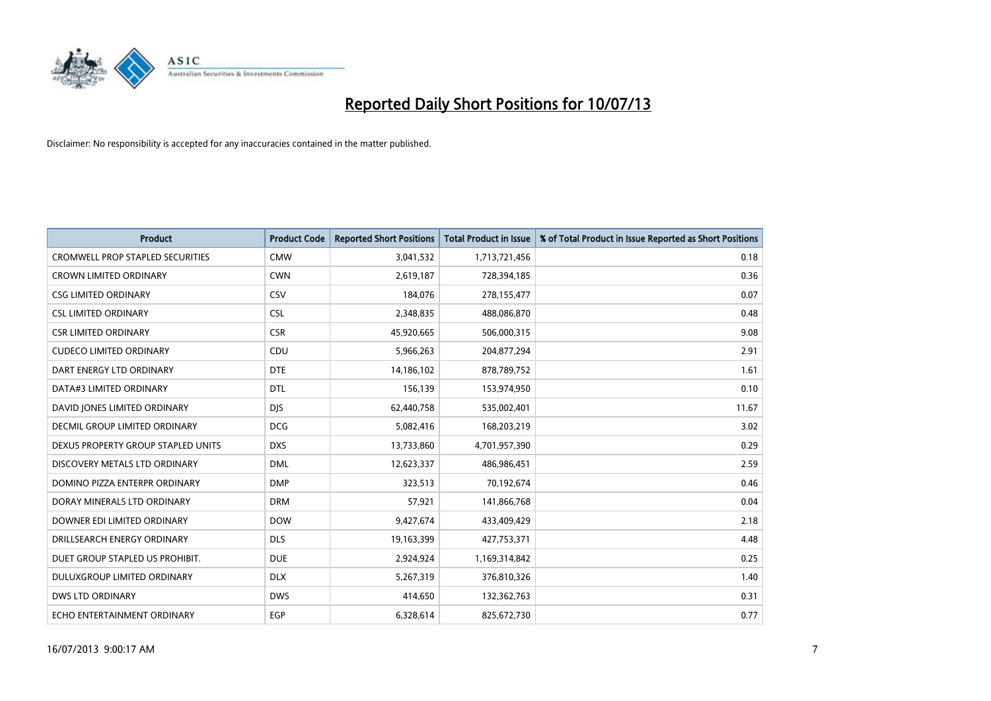

| <b>Product</b>                          | <b>Product Code</b> | <b>Reported Short Positions</b> | <b>Total Product in Issue</b> | % of Total Product in Issue Reported as Short Positions |
|-----------------------------------------|---------------------|---------------------------------|-------------------------------|---------------------------------------------------------|
| <b>CROMWELL PROP STAPLED SECURITIES</b> | <b>CMW</b>          | 3,041,532                       | 1,713,721,456                 | 0.18                                                    |
| <b>CROWN LIMITED ORDINARY</b>           | <b>CWN</b>          | 2,619,187                       | 728,394,185                   | 0.36                                                    |
| <b>CSG LIMITED ORDINARY</b>             | CSV                 | 184,076                         | 278,155,477                   | 0.07                                                    |
| <b>CSL LIMITED ORDINARY</b>             | <b>CSL</b>          | 2,348,835                       | 488,086,870                   | 0.48                                                    |
| <b>CSR LIMITED ORDINARY</b>             | <b>CSR</b>          | 45,920,665                      | 506,000,315                   | 9.08                                                    |
| <b>CUDECO LIMITED ORDINARY</b>          | CDU                 | 5,966,263                       | 204,877,294                   | 2.91                                                    |
| DART ENERGY LTD ORDINARY                | <b>DTE</b>          | 14,186,102                      | 878,789,752                   | 1.61                                                    |
| DATA#3 LIMITED ORDINARY                 | <b>DTL</b>          | 156,139                         | 153,974,950                   | 0.10                                                    |
| DAVID JONES LIMITED ORDINARY            | <b>DJS</b>          | 62,440,758                      | 535,002,401                   | 11.67                                                   |
| DECMIL GROUP LIMITED ORDINARY           | <b>DCG</b>          | 5,082,416                       | 168,203,219                   | 3.02                                                    |
| DEXUS PROPERTY GROUP STAPLED UNITS      | <b>DXS</b>          | 13,733,860                      | 4,701,957,390                 | 0.29                                                    |
| DISCOVERY METALS LTD ORDINARY           | <b>DML</b>          | 12,623,337                      | 486,986,451                   | 2.59                                                    |
| DOMINO PIZZA ENTERPR ORDINARY           | <b>DMP</b>          | 323,513                         | 70,192,674                    | 0.46                                                    |
| DORAY MINERALS LTD ORDINARY             | <b>DRM</b>          | 57,921                          | 141,866,768                   | 0.04                                                    |
| DOWNER EDI LIMITED ORDINARY             | <b>DOW</b>          | 9,427,674                       | 433,409,429                   | 2.18                                                    |
| DRILLSEARCH ENERGY ORDINARY             | <b>DLS</b>          | 19,163,399                      | 427,753,371                   | 4.48                                                    |
| DUET GROUP STAPLED US PROHIBIT.         | <b>DUE</b>          | 2,924,924                       | 1,169,314,842                 | 0.25                                                    |
| DULUXGROUP LIMITED ORDINARY             | <b>DLX</b>          | 5,267,319                       | 376,810,326                   | 1.40                                                    |
| <b>DWS LTD ORDINARY</b>                 | <b>DWS</b>          | 414,650                         | 132,362,763                   | 0.31                                                    |
| ECHO ENTERTAINMENT ORDINARY             | <b>EGP</b>          | 6,328,614                       | 825,672,730                   | 0.77                                                    |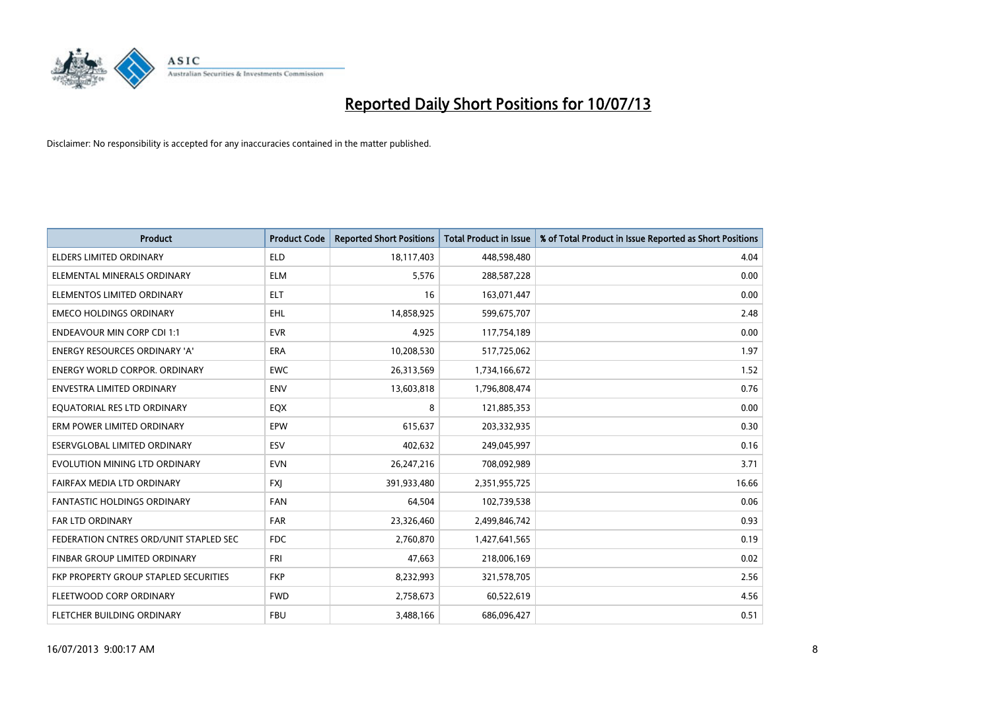

| <b>Product</b>                         | <b>Product Code</b> | <b>Reported Short Positions</b> | <b>Total Product in Issue</b> | % of Total Product in Issue Reported as Short Positions |
|----------------------------------------|---------------------|---------------------------------|-------------------------------|---------------------------------------------------------|
| <b>ELDERS LIMITED ORDINARY</b>         | <b>ELD</b>          | 18,117,403                      | 448,598,480                   | 4.04                                                    |
| ELEMENTAL MINERALS ORDINARY            | <b>ELM</b>          | 5,576                           | 288,587,228                   | 0.00                                                    |
| ELEMENTOS LIMITED ORDINARY             | <b>ELT</b>          | 16                              | 163,071,447                   | 0.00                                                    |
| <b>EMECO HOLDINGS ORDINARY</b>         | <b>EHL</b>          | 14,858,925                      | 599,675,707                   | 2.48                                                    |
| <b>ENDEAVOUR MIN CORP CDI 1:1</b>      | <b>EVR</b>          | 4,925                           | 117,754,189                   | 0.00                                                    |
| <b>ENERGY RESOURCES ORDINARY 'A'</b>   | <b>ERA</b>          | 10,208,530                      | 517,725,062                   | 1.97                                                    |
| <b>ENERGY WORLD CORPOR, ORDINARY</b>   | <b>EWC</b>          | 26,313,569                      | 1,734,166,672                 | 1.52                                                    |
| ENVESTRA LIMITED ORDINARY              | <b>ENV</b>          | 13,603,818                      | 1,796,808,474                 | 0.76                                                    |
| EQUATORIAL RES LTD ORDINARY            | EQX                 | 8                               | 121,885,353                   | 0.00                                                    |
| ERM POWER LIMITED ORDINARY             | EPW                 | 615,637                         | 203,332,935                   | 0.30                                                    |
| ESERVGLOBAL LIMITED ORDINARY           | ESV                 | 402,632                         | 249,045,997                   | 0.16                                                    |
| EVOLUTION MINING LTD ORDINARY          | <b>EVN</b>          | 26,247,216                      | 708,092,989                   | 3.71                                                    |
| FAIRFAX MEDIA LTD ORDINARY             | <b>FXI</b>          | 391,933,480                     | 2,351,955,725                 | 16.66                                                   |
| <b>FANTASTIC HOLDINGS ORDINARY</b>     | <b>FAN</b>          | 64,504                          | 102,739,538                   | 0.06                                                    |
| <b>FAR LTD ORDINARY</b>                | <b>FAR</b>          | 23,326,460                      | 2,499,846,742                 | 0.93                                                    |
| FEDERATION CNTRES ORD/UNIT STAPLED SEC | <b>FDC</b>          | 2,760,870                       | 1,427,641,565                 | 0.19                                                    |
| FINBAR GROUP LIMITED ORDINARY          | <b>FRI</b>          | 47,663                          | 218,006,169                   | 0.02                                                    |
| FKP PROPERTY GROUP STAPLED SECURITIES  | <b>FKP</b>          | 8,232,993                       | 321,578,705                   | 2.56                                                    |
| FLEETWOOD CORP ORDINARY                | <b>FWD</b>          | 2,758,673                       | 60,522,619                    | 4.56                                                    |
| FLETCHER BUILDING ORDINARY             | <b>FBU</b>          | 3,488,166                       | 686,096,427                   | 0.51                                                    |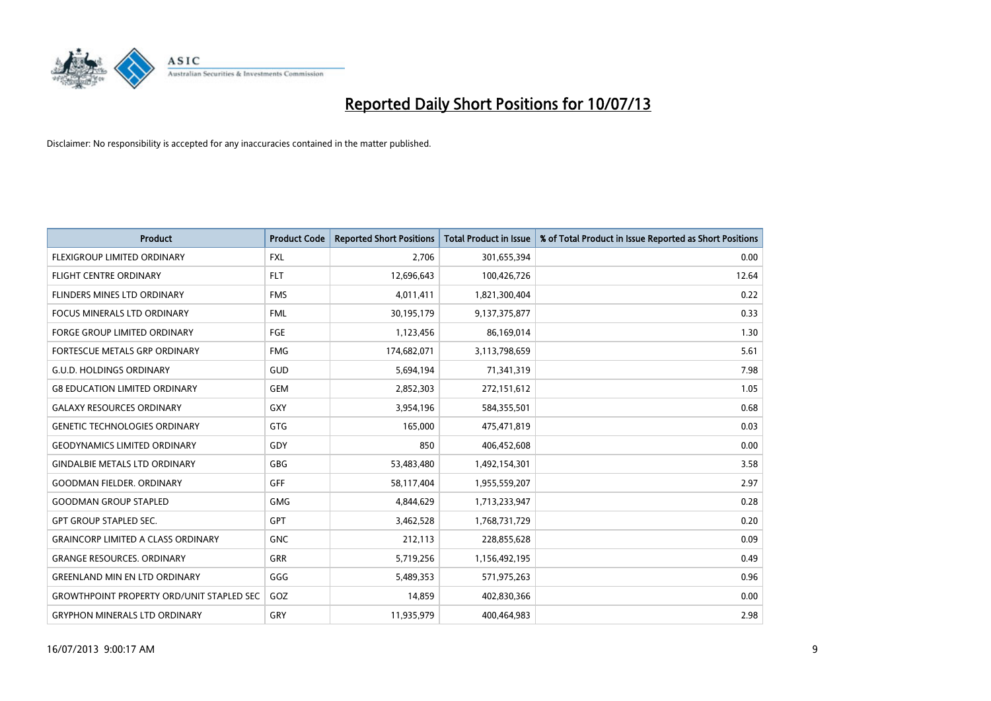

| <b>Product</b>                                   | <b>Product Code</b> | <b>Reported Short Positions</b> | <b>Total Product in Issue</b> | % of Total Product in Issue Reported as Short Positions |
|--------------------------------------------------|---------------------|---------------------------------|-------------------------------|---------------------------------------------------------|
| FLEXIGROUP LIMITED ORDINARY                      | <b>FXL</b>          | 2,706                           | 301,655,394                   | 0.00                                                    |
| <b>FLIGHT CENTRE ORDINARY</b>                    | <b>FLT</b>          | 12,696,643                      | 100,426,726                   | 12.64                                                   |
| <b>FLINDERS MINES LTD ORDINARY</b>               | <b>FMS</b>          | 4,011,411                       | 1,821,300,404                 | 0.22                                                    |
| FOCUS MINERALS LTD ORDINARY                      | <b>FML</b>          | 30,195,179                      | 9,137,375,877                 | 0.33                                                    |
| <b>FORGE GROUP LIMITED ORDINARY</b>              | FGE                 | 1,123,456                       | 86,169,014                    | 1.30                                                    |
| FORTESCUE METALS GRP ORDINARY                    | <b>FMG</b>          | 174,682,071                     | 3,113,798,659                 | 5.61                                                    |
| <b>G.U.D. HOLDINGS ORDINARY</b>                  | GUD                 | 5,694,194                       | 71,341,319                    | 7.98                                                    |
| <b>G8 EDUCATION LIMITED ORDINARY</b>             | <b>GEM</b>          | 2,852,303                       | 272,151,612                   | 1.05                                                    |
| <b>GALAXY RESOURCES ORDINARY</b>                 | GXY                 | 3,954,196                       | 584,355,501                   | 0.68                                                    |
| <b>GENETIC TECHNOLOGIES ORDINARY</b>             | GTG                 | 165,000                         | 475,471,819                   | 0.03                                                    |
| <b>GEODYNAMICS LIMITED ORDINARY</b>              | GDY                 | 850                             | 406,452,608                   | 0.00                                                    |
| <b>GINDALBIE METALS LTD ORDINARY</b>             | <b>GBG</b>          | 53,483,480                      | 1,492,154,301                 | 3.58                                                    |
| <b>GOODMAN FIELDER, ORDINARY</b>                 | <b>GFF</b>          | 58,117,404                      | 1,955,559,207                 | 2.97                                                    |
| <b>GOODMAN GROUP STAPLED</b>                     | <b>GMG</b>          | 4,844,629                       | 1,713,233,947                 | 0.28                                                    |
| <b>GPT GROUP STAPLED SEC.</b>                    | GPT                 | 3,462,528                       | 1,768,731,729                 | 0.20                                                    |
| <b>GRAINCORP LIMITED A CLASS ORDINARY</b>        | <b>GNC</b>          | 212,113                         | 228,855,628                   | 0.09                                                    |
| <b>GRANGE RESOURCES. ORDINARY</b>                | GRR                 | 5,719,256                       | 1,156,492,195                 | 0.49                                                    |
| <b>GREENLAND MIN EN LTD ORDINARY</b>             | GGG                 | 5,489,353                       | 571,975,263                   | 0.96                                                    |
| <b>GROWTHPOINT PROPERTY ORD/UNIT STAPLED SEC</b> | GOZ                 | 14,859                          | 402,830,366                   | 0.00                                                    |
| <b>GRYPHON MINERALS LTD ORDINARY</b>             | GRY                 | 11,935,979                      | 400,464,983                   | 2.98                                                    |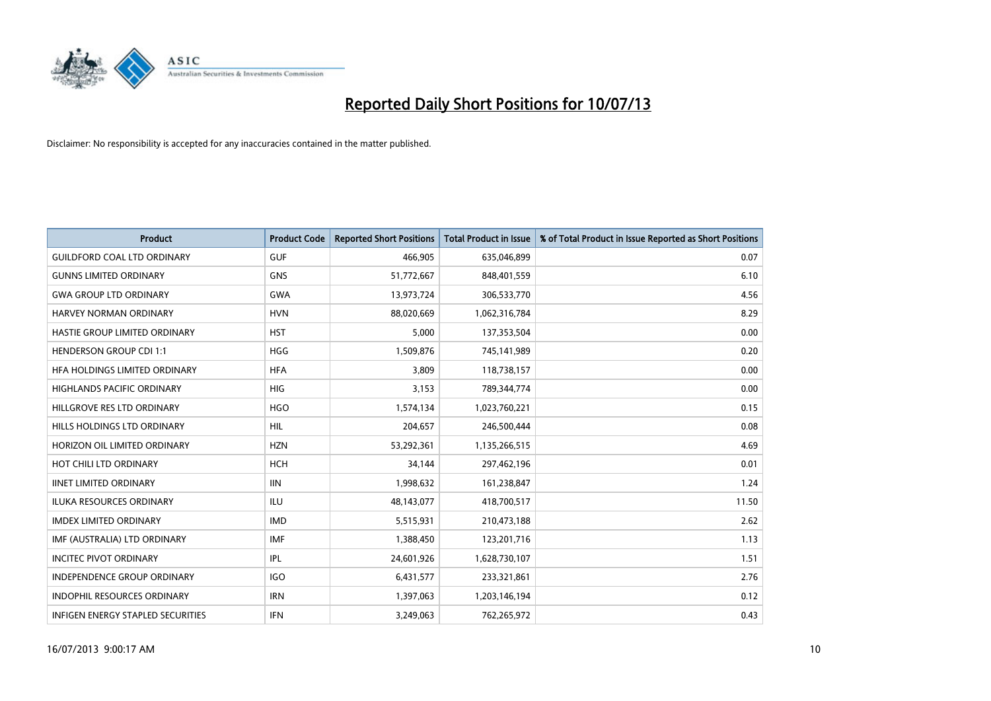

| <b>Product</b>                       | <b>Product Code</b> | <b>Reported Short Positions</b> | <b>Total Product in Issue</b> | % of Total Product in Issue Reported as Short Positions |
|--------------------------------------|---------------------|---------------------------------|-------------------------------|---------------------------------------------------------|
| <b>GUILDFORD COAL LTD ORDINARY</b>   | <b>GUF</b>          | 466,905                         | 635,046,899                   | 0.07                                                    |
| <b>GUNNS LIMITED ORDINARY</b>        | GNS                 | 51,772,667                      | 848,401,559                   | 6.10                                                    |
| <b>GWA GROUP LTD ORDINARY</b>        | <b>GWA</b>          | 13,973,724                      | 306,533,770                   | 4.56                                                    |
| <b>HARVEY NORMAN ORDINARY</b>        | <b>HVN</b>          | 88,020,669                      | 1,062,316,784                 | 8.29                                                    |
| HASTIE GROUP LIMITED ORDINARY        | <b>HST</b>          | 5,000                           | 137,353,504                   | 0.00                                                    |
| <b>HENDERSON GROUP CDI 1:1</b>       | <b>HGG</b>          | 1,509,876                       | 745,141,989                   | 0.20                                                    |
| <b>HFA HOLDINGS LIMITED ORDINARY</b> | <b>HFA</b>          | 3,809                           | 118,738,157                   | 0.00                                                    |
| HIGHLANDS PACIFIC ORDINARY           | <b>HIG</b>          | 3,153                           | 789,344,774                   | 0.00                                                    |
| HILLGROVE RES LTD ORDINARY           | <b>HGO</b>          | 1,574,134                       | 1,023,760,221                 | 0.15                                                    |
| <b>HILLS HOLDINGS LTD ORDINARY</b>   | <b>HIL</b>          | 204,657                         | 246,500,444                   | 0.08                                                    |
| HORIZON OIL LIMITED ORDINARY         | <b>HZN</b>          | 53,292,361                      | 1,135,266,515                 | 4.69                                                    |
| HOT CHILI LTD ORDINARY               | HCH                 | 34,144                          | 297,462,196                   | 0.01                                                    |
| <b>IINET LIMITED ORDINARY</b>        | <b>IIN</b>          | 1,998,632                       | 161,238,847                   | 1.24                                                    |
| <b>ILUKA RESOURCES ORDINARY</b>      | ILU                 | 48,143,077                      | 418,700,517                   | 11.50                                                   |
| <b>IMDEX LIMITED ORDINARY</b>        | <b>IMD</b>          | 5,515,931                       | 210,473,188                   | 2.62                                                    |
| IMF (AUSTRALIA) LTD ORDINARY         | IMF                 | 1,388,450                       | 123,201,716                   | 1.13                                                    |
| <b>INCITEC PIVOT ORDINARY</b>        | <b>IPL</b>          | 24,601,926                      | 1,628,730,107                 | 1.51                                                    |
| INDEPENDENCE GROUP ORDINARY          | <b>IGO</b>          | 6,431,577                       | 233,321,861                   | 2.76                                                    |
| <b>INDOPHIL RESOURCES ORDINARY</b>   | <b>IRN</b>          | 1,397,063                       | 1,203,146,194                 | 0.12                                                    |
| INFIGEN ENERGY STAPLED SECURITIES    | <b>IFN</b>          | 3,249,063                       | 762,265,972                   | 0.43                                                    |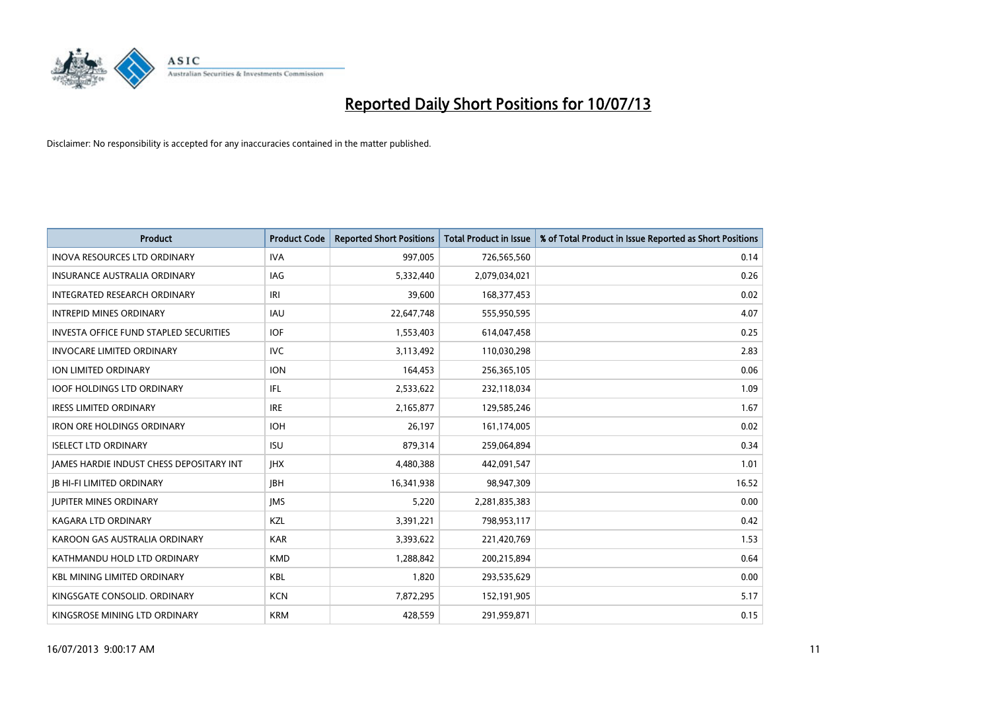

| <b>Product</b>                                  | <b>Product Code</b> | <b>Reported Short Positions</b> | <b>Total Product in Issue</b> | % of Total Product in Issue Reported as Short Positions |
|-------------------------------------------------|---------------------|---------------------------------|-------------------------------|---------------------------------------------------------|
| <b>INOVA RESOURCES LTD ORDINARY</b>             | <b>IVA</b>          | 997,005                         | 726,565,560                   | 0.14                                                    |
| <b>INSURANCE AUSTRALIA ORDINARY</b>             | <b>IAG</b>          | 5,332,440                       | 2,079,034,021                 | 0.26                                                    |
| <b>INTEGRATED RESEARCH ORDINARY</b>             | IRI                 | 39,600                          | 168,377,453                   | 0.02                                                    |
| <b>INTREPID MINES ORDINARY</b>                  | <b>IAU</b>          | 22,647,748                      | 555,950,595                   | 4.07                                                    |
| <b>INVESTA OFFICE FUND STAPLED SECURITIES</b>   | <b>IOF</b>          | 1,553,403                       | 614,047,458                   | 0.25                                                    |
| <b>INVOCARE LIMITED ORDINARY</b>                | <b>IVC</b>          | 3,113,492                       | 110,030,298                   | 2.83                                                    |
| ION LIMITED ORDINARY                            | <b>ION</b>          | 164,453                         | 256,365,105                   | 0.06                                                    |
| <b>IOOF HOLDINGS LTD ORDINARY</b>               | IFL                 | 2,533,622                       | 232,118,034                   | 1.09                                                    |
| <b>IRESS LIMITED ORDINARY</b>                   | <b>IRE</b>          | 2,165,877                       | 129,585,246                   | 1.67                                                    |
| <b>IRON ORE HOLDINGS ORDINARY</b>               | <b>IOH</b>          | 26.197                          | 161,174,005                   | 0.02                                                    |
| <b>ISELECT LTD ORDINARY</b>                     | <b>ISU</b>          | 879,314                         | 259,064,894                   | 0.34                                                    |
| <b>JAMES HARDIE INDUST CHESS DEPOSITARY INT</b> | <b>IHX</b>          | 4,480,388                       | 442,091,547                   | 1.01                                                    |
| <b>IB HI-FI LIMITED ORDINARY</b>                | <b>IBH</b>          | 16,341,938                      | 98,947,309                    | 16.52                                                   |
| <b>JUPITER MINES ORDINARY</b>                   | <b>IMS</b>          | 5,220                           | 2,281,835,383                 | 0.00                                                    |
| <b>KAGARA LTD ORDINARY</b>                      | KZL                 | 3,391,221                       | 798,953,117                   | 0.42                                                    |
| KAROON GAS AUSTRALIA ORDINARY                   | <b>KAR</b>          | 3,393,622                       | 221,420,769                   | 1.53                                                    |
| KATHMANDU HOLD LTD ORDINARY                     | <b>KMD</b>          | 1,288,842                       | 200,215,894                   | 0.64                                                    |
| <b>KBL MINING LIMITED ORDINARY</b>              | <b>KBL</b>          | 1,820                           | 293,535,629                   | 0.00                                                    |
| KINGSGATE CONSOLID. ORDINARY                    | <b>KCN</b>          | 7,872,295                       | 152,191,905                   | 5.17                                                    |
| KINGSROSE MINING LTD ORDINARY                   | <b>KRM</b>          | 428,559                         | 291,959,871                   | 0.15                                                    |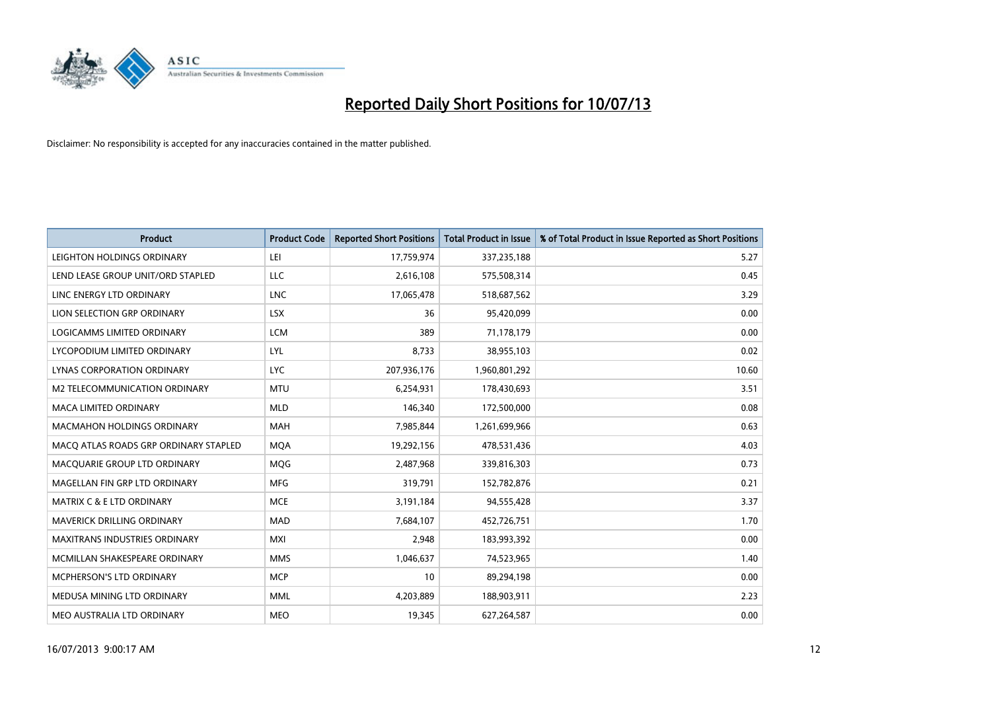

| <b>Product</b>                        | <b>Product Code</b> | <b>Reported Short Positions</b> | <b>Total Product in Issue</b> | % of Total Product in Issue Reported as Short Positions |
|---------------------------------------|---------------------|---------------------------------|-------------------------------|---------------------------------------------------------|
| LEIGHTON HOLDINGS ORDINARY            | LEI                 | 17,759,974                      | 337,235,188                   | 5.27                                                    |
| LEND LEASE GROUP UNIT/ORD STAPLED     | LLC                 | 2,616,108                       | 575,508,314                   | 0.45                                                    |
| LINC ENERGY LTD ORDINARY              | <b>LNC</b>          | 17,065,478                      | 518,687,562                   | 3.29                                                    |
| LION SELECTION GRP ORDINARY           | <b>LSX</b>          | 36                              | 95,420,099                    | 0.00                                                    |
| <b>LOGICAMMS LIMITED ORDINARY</b>     | <b>LCM</b>          | 389                             | 71,178,179                    | 0.00                                                    |
| LYCOPODIUM LIMITED ORDINARY           | LYL                 | 8,733                           | 38,955,103                    | 0.02                                                    |
| LYNAS CORPORATION ORDINARY            | <b>LYC</b>          | 207,936,176                     | 1,960,801,292                 | 10.60                                                   |
| M2 TELECOMMUNICATION ORDINARY         | <b>MTU</b>          | 6,254,931                       | 178,430,693                   | 3.51                                                    |
| <b>MACA LIMITED ORDINARY</b>          | <b>MLD</b>          | 146,340                         | 172,500,000                   | 0.08                                                    |
| <b>MACMAHON HOLDINGS ORDINARY</b>     | <b>MAH</b>          | 7,985,844                       | 1,261,699,966                 | 0.63                                                    |
| MACO ATLAS ROADS GRP ORDINARY STAPLED | <b>MQA</b>          | 19,292,156                      | 478,531,436                   | 4.03                                                    |
| MACQUARIE GROUP LTD ORDINARY          | <b>MOG</b>          | 2,487,968                       | 339,816,303                   | 0.73                                                    |
| MAGELLAN FIN GRP LTD ORDINARY         | <b>MFG</b>          | 319,791                         | 152,782,876                   | 0.21                                                    |
| <b>MATRIX C &amp; E LTD ORDINARY</b>  | <b>MCE</b>          | 3,191,184                       | 94,555,428                    | 3.37                                                    |
| MAVERICK DRILLING ORDINARY            | <b>MAD</b>          | 7,684,107                       | 452,726,751                   | 1.70                                                    |
| <b>MAXITRANS INDUSTRIES ORDINARY</b>  | <b>MXI</b>          | 2,948                           | 183,993,392                   | 0.00                                                    |
| MCMILLAN SHAKESPEARE ORDINARY         | <b>MMS</b>          | 1,046,637                       | 74,523,965                    | 1.40                                                    |
| MCPHERSON'S LTD ORDINARY              | <b>MCP</b>          | 10                              | 89,294,198                    | 0.00                                                    |
| MEDUSA MINING LTD ORDINARY            | <b>MML</b>          | 4,203,889                       | 188,903,911                   | 2.23                                                    |
| MEO AUSTRALIA LTD ORDINARY            | <b>MEO</b>          | 19,345                          | 627,264,587                   | 0.00                                                    |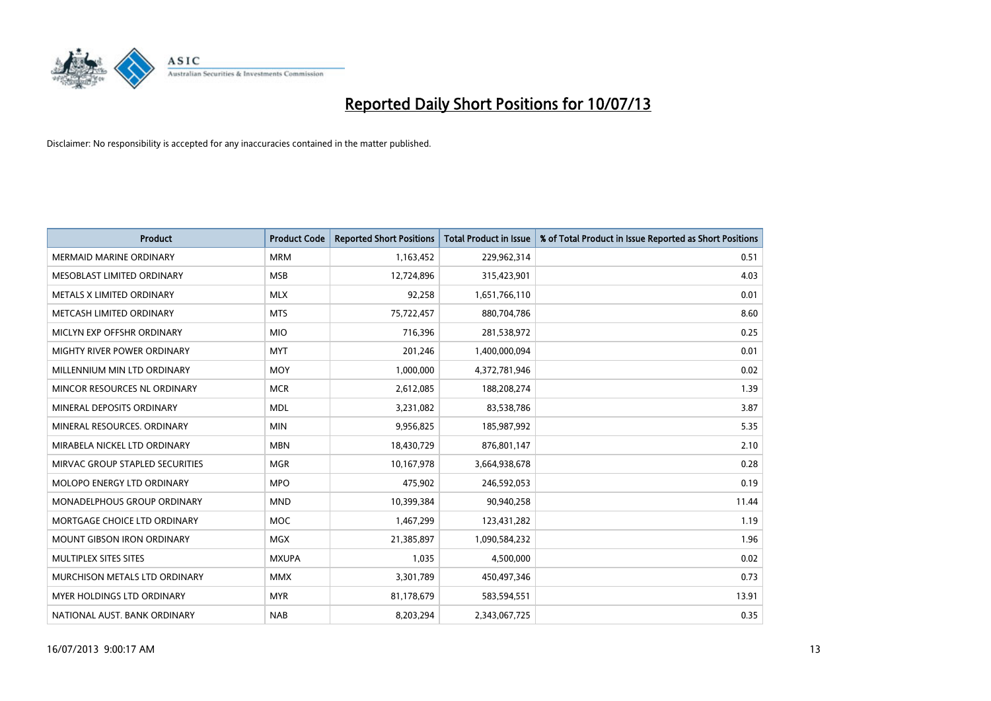

| <b>Product</b>                  | <b>Product Code</b> | <b>Reported Short Positions</b> | <b>Total Product in Issue</b> | % of Total Product in Issue Reported as Short Positions |
|---------------------------------|---------------------|---------------------------------|-------------------------------|---------------------------------------------------------|
| <b>MERMAID MARINE ORDINARY</b>  | <b>MRM</b>          | 1,163,452                       | 229,962,314                   | 0.51                                                    |
| MESOBLAST LIMITED ORDINARY      | <b>MSB</b>          | 12,724,896                      | 315,423,901                   | 4.03                                                    |
| METALS X LIMITED ORDINARY       | <b>MLX</b>          | 92,258                          | 1,651,766,110                 | 0.01                                                    |
| METCASH LIMITED ORDINARY        | <b>MTS</b>          | 75,722,457                      | 880,704,786                   | 8.60                                                    |
| MICLYN EXP OFFSHR ORDINARY      | <b>MIO</b>          | 716,396                         | 281,538,972                   | 0.25                                                    |
| MIGHTY RIVER POWER ORDINARY     | <b>MYT</b>          | 201,246                         | 1,400,000,094                 | 0.01                                                    |
| MILLENNIUM MIN LTD ORDINARY     | <b>MOY</b>          | 1,000,000                       | 4,372,781,946                 | 0.02                                                    |
| MINCOR RESOURCES NL ORDINARY    | <b>MCR</b>          | 2,612,085                       | 188,208,274                   | 1.39                                                    |
| MINERAL DEPOSITS ORDINARY       | <b>MDL</b>          | 3,231,082                       | 83,538,786                    | 3.87                                                    |
| MINERAL RESOURCES, ORDINARY     | <b>MIN</b>          | 9,956,825                       | 185,987,992                   | 5.35                                                    |
| MIRABELA NICKEL LTD ORDINARY    | <b>MBN</b>          | 18,430,729                      | 876,801,147                   | 2.10                                                    |
| MIRVAC GROUP STAPLED SECURITIES | <b>MGR</b>          | 10,167,978                      | 3,664,938,678                 | 0.28                                                    |
| MOLOPO ENERGY LTD ORDINARY      | <b>MPO</b>          | 475,902                         | 246,592,053                   | 0.19                                                    |
| MONADELPHOUS GROUP ORDINARY     | <b>MND</b>          | 10,399,384                      | 90,940,258                    | 11.44                                                   |
| MORTGAGE CHOICE LTD ORDINARY    | <b>MOC</b>          | 1,467,299                       | 123,431,282                   | 1.19                                                    |
| MOUNT GIBSON IRON ORDINARY      | <b>MGX</b>          | 21,385,897                      | 1,090,584,232                 | 1.96                                                    |
| MULTIPLEX SITES SITES           | <b>MXUPA</b>        | 1,035                           | 4,500,000                     | 0.02                                                    |
| MURCHISON METALS LTD ORDINARY   | <b>MMX</b>          | 3,301,789                       | 450,497,346                   | 0.73                                                    |
| MYER HOLDINGS LTD ORDINARY      | <b>MYR</b>          | 81,178,679                      | 583,594,551                   | 13.91                                                   |
| NATIONAL AUST. BANK ORDINARY    | <b>NAB</b>          | 8,203,294                       | 2,343,067,725                 | 0.35                                                    |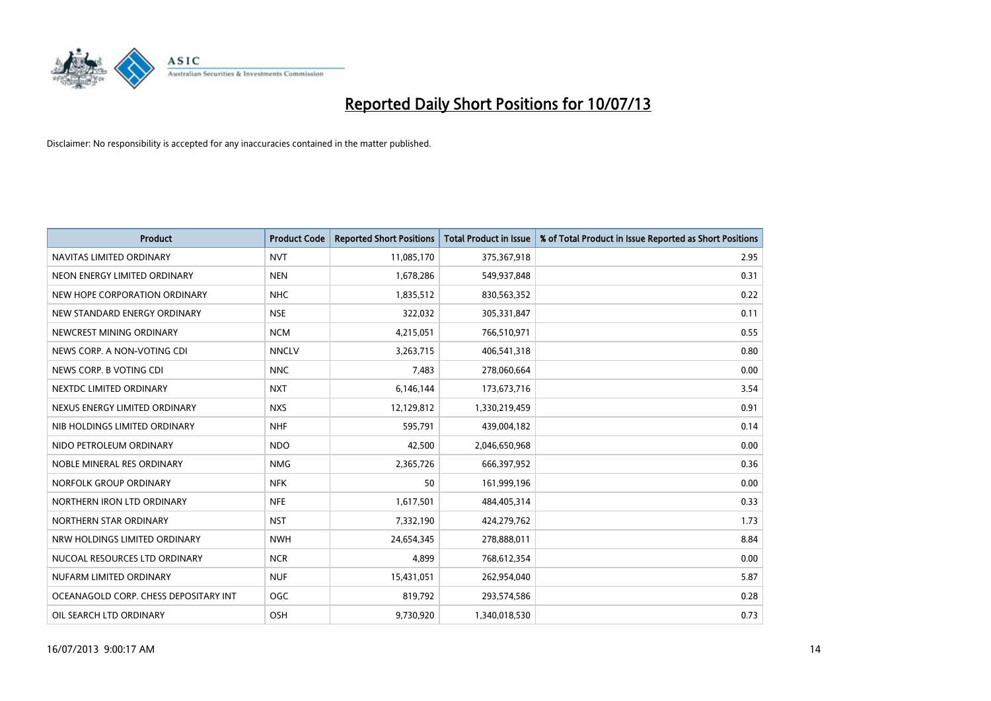

| <b>Product</b>                        | <b>Product Code</b> | <b>Reported Short Positions</b> | Total Product in Issue | % of Total Product in Issue Reported as Short Positions |
|---------------------------------------|---------------------|---------------------------------|------------------------|---------------------------------------------------------|
| NAVITAS LIMITED ORDINARY              | <b>NVT</b>          | 11,085,170                      | 375,367,918            | 2.95                                                    |
| NEON ENERGY LIMITED ORDINARY          | <b>NEN</b>          | 1,678,286                       | 549,937,848            | 0.31                                                    |
| NEW HOPE CORPORATION ORDINARY         | <b>NHC</b>          | 1,835,512                       | 830,563,352            | 0.22                                                    |
| NEW STANDARD ENERGY ORDINARY          | <b>NSE</b>          | 322,032                         | 305,331,847            | 0.11                                                    |
| NEWCREST MINING ORDINARY              | <b>NCM</b>          | 4,215,051                       | 766,510,971            | 0.55                                                    |
| NEWS CORP. A NON-VOTING CDI           | <b>NNCLV</b>        | 3,263,715                       | 406,541,318            | 0.80                                                    |
| NEWS CORP. B VOTING CDI               | <b>NNC</b>          | 7,483                           | 278,060,664            | 0.00                                                    |
| NEXTDC LIMITED ORDINARY               | <b>NXT</b>          | 6,146,144                       | 173,673,716            | 3.54                                                    |
| NEXUS ENERGY LIMITED ORDINARY         | <b>NXS</b>          | 12,129,812                      | 1,330,219,459          | 0.91                                                    |
| NIB HOLDINGS LIMITED ORDINARY         | <b>NHF</b>          | 595,791                         | 439,004,182            | 0.14                                                    |
| NIDO PETROLEUM ORDINARY               | <b>NDO</b>          | 42,500                          | 2,046,650,968          | 0.00                                                    |
| NOBLE MINERAL RES ORDINARY            | <b>NMG</b>          | 2,365,726                       | 666,397,952            | 0.36                                                    |
| NORFOLK GROUP ORDINARY                | <b>NFK</b>          | 50                              | 161,999,196            | 0.00                                                    |
| NORTHERN IRON LTD ORDINARY            | <b>NFE</b>          | 1,617,501                       | 484,405,314            | 0.33                                                    |
| NORTHERN STAR ORDINARY                | <b>NST</b>          | 7,332,190                       | 424,279,762            | 1.73                                                    |
| NRW HOLDINGS LIMITED ORDINARY         | <b>NWH</b>          | 24,654,345                      | 278,888,011            | 8.84                                                    |
| NUCOAL RESOURCES LTD ORDINARY         | <b>NCR</b>          | 4,899                           | 768,612,354            | 0.00                                                    |
| NUFARM LIMITED ORDINARY               | <b>NUF</b>          | 15,431,051                      | 262,954,040            | 5.87                                                    |
| OCEANAGOLD CORP. CHESS DEPOSITARY INT | <b>OGC</b>          | 819,792                         | 293,574,586            | 0.28                                                    |
| OIL SEARCH LTD ORDINARY               | OSH                 | 9,730,920                       | 1,340,018,530          | 0.73                                                    |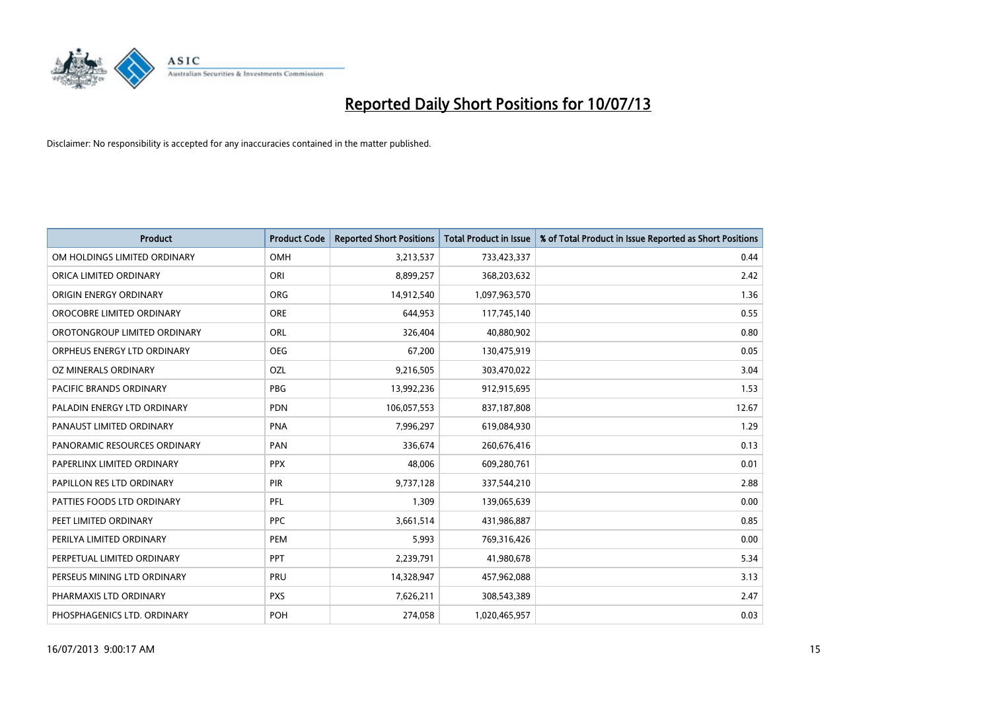

| <b>Product</b>               | <b>Product Code</b> | <b>Reported Short Positions</b> | <b>Total Product in Issue</b> | % of Total Product in Issue Reported as Short Positions |
|------------------------------|---------------------|---------------------------------|-------------------------------|---------------------------------------------------------|
| OM HOLDINGS LIMITED ORDINARY | OMH                 | 3,213,537                       | 733,423,337                   | 0.44                                                    |
| ORICA LIMITED ORDINARY       | ORI                 | 8,899,257                       | 368,203,632                   | 2.42                                                    |
| ORIGIN ENERGY ORDINARY       | <b>ORG</b>          | 14,912,540                      | 1,097,963,570                 | 1.36                                                    |
| OROCOBRE LIMITED ORDINARY    | <b>ORE</b>          | 644,953                         | 117,745,140                   | 0.55                                                    |
| OROTONGROUP LIMITED ORDINARY | ORL                 | 326,404                         | 40,880,902                    | 0.80                                                    |
| ORPHEUS ENERGY LTD ORDINARY  | <b>OEG</b>          | 67,200                          | 130,475,919                   | 0.05                                                    |
| OZ MINERALS ORDINARY         | OZL                 | 9,216,505                       | 303,470,022                   | 3.04                                                    |
| PACIFIC BRANDS ORDINARY      | <b>PBG</b>          | 13,992,236                      | 912,915,695                   | 1.53                                                    |
| PALADIN ENERGY LTD ORDINARY  | <b>PDN</b>          | 106,057,553                     | 837,187,808                   | 12.67                                                   |
| PANAUST LIMITED ORDINARY     | <b>PNA</b>          | 7,996,297                       | 619,084,930                   | 1.29                                                    |
| PANORAMIC RESOURCES ORDINARY | PAN                 | 336,674                         | 260,676,416                   | 0.13                                                    |
| PAPERLINX LIMITED ORDINARY   | <b>PPX</b>          | 48,006                          | 609,280,761                   | 0.01                                                    |
| PAPILLON RES LTD ORDINARY    | <b>PIR</b>          | 9,737,128                       | 337,544,210                   | 2.88                                                    |
| PATTIES FOODS LTD ORDINARY   | <b>PFL</b>          | 1,309                           | 139,065,639                   | 0.00                                                    |
| PEET LIMITED ORDINARY        | <b>PPC</b>          | 3,661,514                       | 431,986,887                   | 0.85                                                    |
| PERILYA LIMITED ORDINARY     | PEM                 | 5,993                           | 769,316,426                   | 0.00                                                    |
| PERPETUAL LIMITED ORDINARY   | <b>PPT</b>          | 2,239,791                       | 41,980,678                    | 5.34                                                    |
| PERSEUS MINING LTD ORDINARY  | PRU                 | 14,328,947                      | 457,962,088                   | 3.13                                                    |
| PHARMAXIS LTD ORDINARY       | <b>PXS</b>          | 7,626,211                       | 308,543,389                   | 2.47                                                    |
| PHOSPHAGENICS LTD. ORDINARY  | <b>POH</b>          | 274,058                         | 1,020,465,957                 | 0.03                                                    |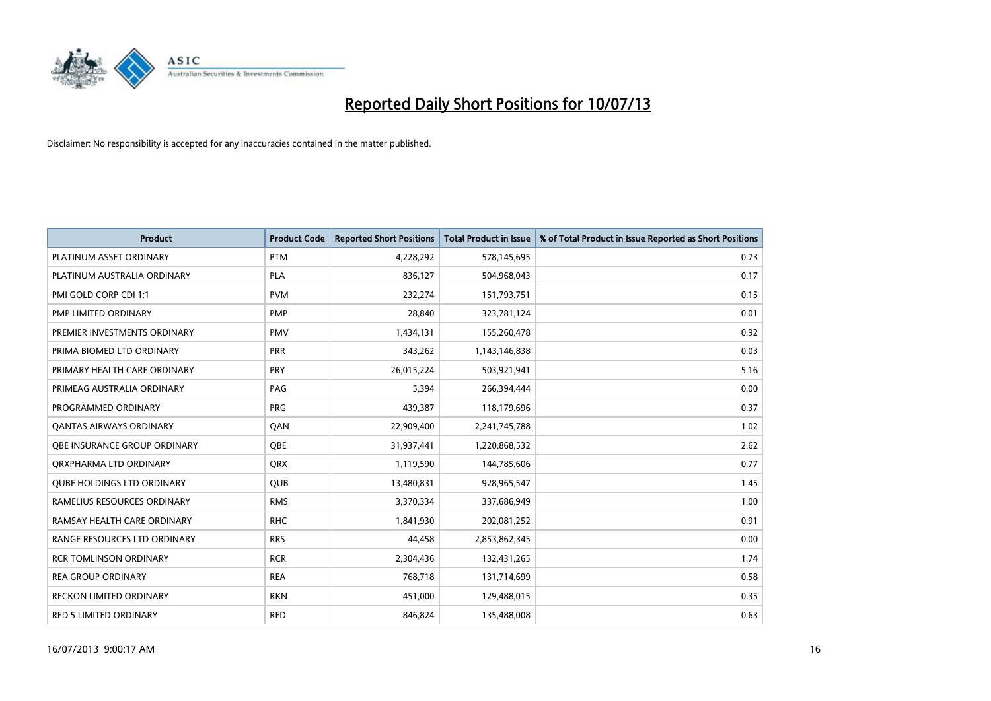

| <b>Product</b>                    | <b>Product Code</b> | <b>Reported Short Positions</b> | <b>Total Product in Issue</b> | % of Total Product in Issue Reported as Short Positions |
|-----------------------------------|---------------------|---------------------------------|-------------------------------|---------------------------------------------------------|
| PLATINUM ASSET ORDINARY           | <b>PTM</b>          | 4,228,292                       | 578,145,695                   | 0.73                                                    |
| PLATINUM AUSTRALIA ORDINARY       | <b>PLA</b>          | 836,127                         | 504,968,043                   | 0.17                                                    |
| PMI GOLD CORP CDI 1:1             | <b>PVM</b>          | 232,274                         | 151,793,751                   | 0.15                                                    |
| PMP LIMITED ORDINARY              | <b>PMP</b>          | 28,840                          | 323,781,124                   | 0.01                                                    |
| PREMIER INVESTMENTS ORDINARY      | <b>PMV</b>          | 1,434,131                       | 155,260,478                   | 0.92                                                    |
| PRIMA BIOMED LTD ORDINARY         | PRR                 | 343,262                         | 1,143,146,838                 | 0.03                                                    |
| PRIMARY HEALTH CARE ORDINARY      | <b>PRY</b>          | 26,015,224                      | 503,921,941                   | 5.16                                                    |
| PRIMEAG AUSTRALIA ORDINARY        | PAG                 | 5,394                           | 266,394,444                   | 0.00                                                    |
| PROGRAMMED ORDINARY               | <b>PRG</b>          | 439,387                         | 118,179,696                   | 0.37                                                    |
| <b>QANTAS AIRWAYS ORDINARY</b>    | QAN                 | 22,909,400                      | 2,241,745,788                 | 1.02                                                    |
| OBE INSURANCE GROUP ORDINARY      | <b>OBE</b>          | 31,937,441                      | 1,220,868,532                 | 2.62                                                    |
| ORXPHARMA LTD ORDINARY            | QRX                 | 1,119,590                       | 144,785,606                   | 0.77                                                    |
| <b>QUBE HOLDINGS LTD ORDINARY</b> | <b>QUB</b>          | 13,480,831                      | 928,965,547                   | 1.45                                                    |
| RAMELIUS RESOURCES ORDINARY       | <b>RMS</b>          | 3,370,334                       | 337,686,949                   | 1.00                                                    |
| RAMSAY HEALTH CARE ORDINARY       | <b>RHC</b>          | 1,841,930                       | 202,081,252                   | 0.91                                                    |
| RANGE RESOURCES LTD ORDINARY      | <b>RRS</b>          | 44,458                          | 2,853,862,345                 | 0.00                                                    |
| <b>RCR TOMLINSON ORDINARY</b>     | <b>RCR</b>          | 2,304,436                       | 132,431,265                   | 1.74                                                    |
| <b>REA GROUP ORDINARY</b>         | <b>REA</b>          | 768,718                         | 131,714,699                   | 0.58                                                    |
| <b>RECKON LIMITED ORDINARY</b>    | <b>RKN</b>          | 451,000                         | 129,488,015                   | 0.35                                                    |
| RED 5 LIMITED ORDINARY            | <b>RED</b>          | 846,824                         | 135,488,008                   | 0.63                                                    |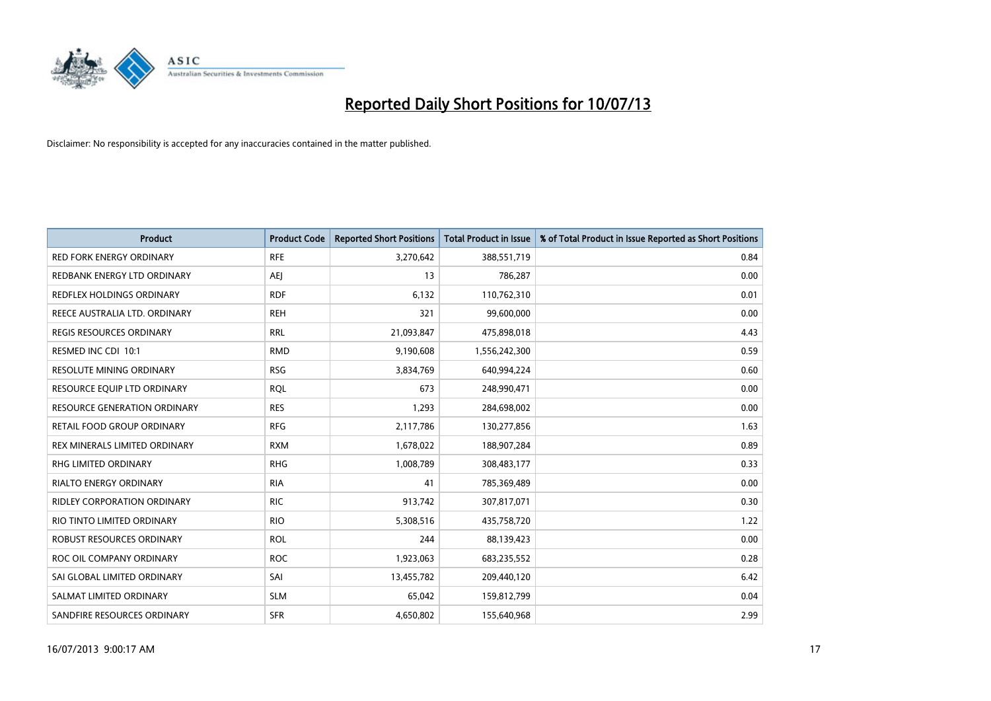

| <b>Product</b>                      | <b>Product Code</b> | <b>Reported Short Positions</b> | <b>Total Product in Issue</b> | % of Total Product in Issue Reported as Short Positions |
|-------------------------------------|---------------------|---------------------------------|-------------------------------|---------------------------------------------------------|
| <b>RED FORK ENERGY ORDINARY</b>     | <b>RFE</b>          | 3,270,642                       | 388,551,719                   | 0.84                                                    |
| REDBANK ENERGY LTD ORDINARY         | AEJ                 | 13                              | 786,287                       | 0.00                                                    |
| REDFLEX HOLDINGS ORDINARY           | <b>RDF</b>          | 6,132                           | 110,762,310                   | 0.01                                                    |
| REECE AUSTRALIA LTD. ORDINARY       | <b>REH</b>          | 321                             | 99,600,000                    | 0.00                                                    |
| <b>REGIS RESOURCES ORDINARY</b>     | <b>RRL</b>          | 21,093,847                      | 475,898,018                   | 4.43                                                    |
| RESMED INC CDI 10:1                 | <b>RMD</b>          | 9,190,608                       | 1,556,242,300                 | 0.59                                                    |
| <b>RESOLUTE MINING ORDINARY</b>     | <b>RSG</b>          | 3,834,769                       | 640,994,224                   | 0.60                                                    |
| RESOURCE EQUIP LTD ORDINARY         | <b>RQL</b>          | 673                             | 248,990,471                   | 0.00                                                    |
| <b>RESOURCE GENERATION ORDINARY</b> | <b>RES</b>          | 1,293                           | 284,698,002                   | 0.00                                                    |
| <b>RETAIL FOOD GROUP ORDINARY</b>   | <b>RFG</b>          | 2,117,786                       | 130,277,856                   | 1.63                                                    |
| REX MINERALS LIMITED ORDINARY       | <b>RXM</b>          | 1,678,022                       | 188,907,284                   | 0.89                                                    |
| RHG LIMITED ORDINARY                | <b>RHG</b>          | 1,008,789                       | 308,483,177                   | 0.33                                                    |
| <b>RIALTO ENERGY ORDINARY</b>       | <b>RIA</b>          | 41                              | 785,369,489                   | 0.00                                                    |
| <b>RIDLEY CORPORATION ORDINARY</b>  | <b>RIC</b>          | 913,742                         | 307,817,071                   | 0.30                                                    |
| RIO TINTO LIMITED ORDINARY          | <b>RIO</b>          | 5,308,516                       | 435,758,720                   | 1.22                                                    |
| ROBUST RESOURCES ORDINARY           | <b>ROL</b>          | 244                             | 88,139,423                    | 0.00                                                    |
| ROC OIL COMPANY ORDINARY            | <b>ROC</b>          | 1,923,063                       | 683,235,552                   | 0.28                                                    |
| SAI GLOBAL LIMITED ORDINARY         | SAI                 | 13,455,782                      | 209,440,120                   | 6.42                                                    |
| SALMAT LIMITED ORDINARY             | <b>SLM</b>          | 65,042                          | 159,812,799                   | 0.04                                                    |
| SANDFIRE RESOURCES ORDINARY         | <b>SFR</b>          | 4,650,802                       | 155,640,968                   | 2.99                                                    |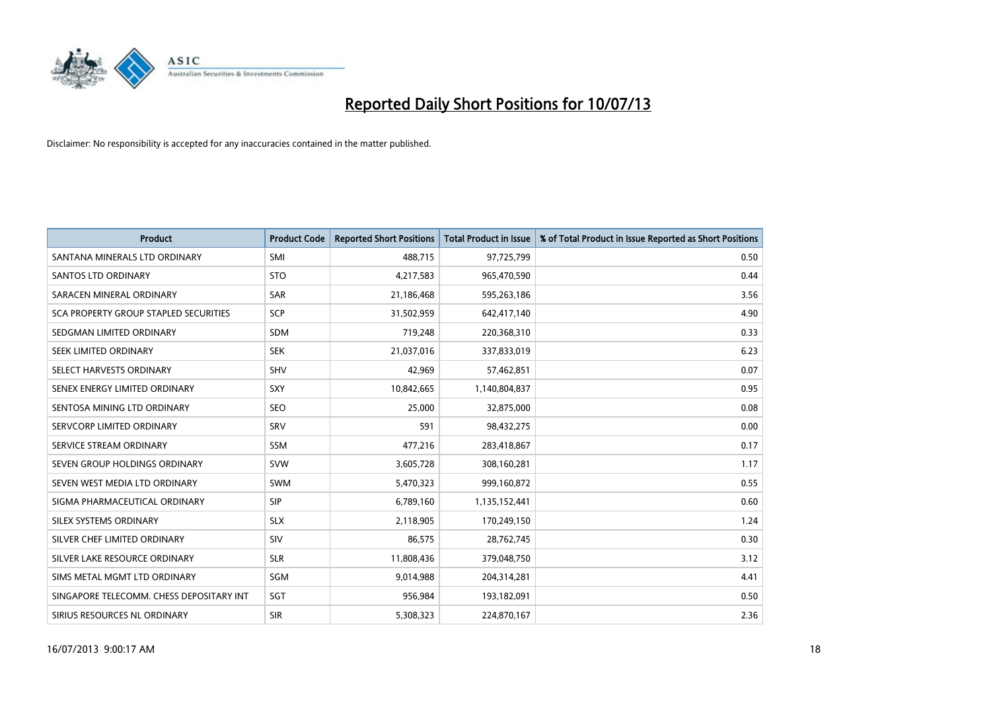

| <b>Product</b>                           | <b>Product Code</b> | <b>Reported Short Positions</b> | <b>Total Product in Issue</b> | % of Total Product in Issue Reported as Short Positions |
|------------------------------------------|---------------------|---------------------------------|-------------------------------|---------------------------------------------------------|
| SANTANA MINERALS LTD ORDINARY            | SMI                 | 488,715                         | 97,725,799                    | 0.50                                                    |
| SANTOS LTD ORDINARY                      | <b>STO</b>          | 4,217,583                       | 965,470,590                   | 0.44                                                    |
| SARACEN MINERAL ORDINARY                 | <b>SAR</b>          | 21,186,468                      | 595,263,186                   | 3.56                                                    |
| SCA PROPERTY GROUP STAPLED SECURITIES    | <b>SCP</b>          | 31,502,959                      | 642,417,140                   | 4.90                                                    |
| SEDGMAN LIMITED ORDINARY                 | <b>SDM</b>          | 719,248                         | 220,368,310                   | 0.33                                                    |
| SEEK LIMITED ORDINARY                    | <b>SEK</b>          | 21,037,016                      | 337,833,019                   | 6.23                                                    |
| SELECT HARVESTS ORDINARY                 | <b>SHV</b>          | 42,969                          | 57,462,851                    | 0.07                                                    |
| SENEX ENERGY LIMITED ORDINARY            | SXY                 | 10,842,665                      | 1,140,804,837                 | 0.95                                                    |
| SENTOSA MINING LTD ORDINARY              | <b>SEO</b>          | 25,000                          | 32,875,000                    | 0.08                                                    |
| SERVCORP LIMITED ORDINARY                | SRV                 | 591                             | 98,432,275                    | 0.00                                                    |
| SERVICE STREAM ORDINARY                  | SSM                 | 477,216                         | 283,418,867                   | 0.17                                                    |
| SEVEN GROUP HOLDINGS ORDINARY            | <b>SVW</b>          | 3,605,728                       | 308,160,281                   | 1.17                                                    |
| SEVEN WEST MEDIA LTD ORDINARY            | SWM                 | 5,470,323                       | 999,160,872                   | 0.55                                                    |
| SIGMA PHARMACEUTICAL ORDINARY            | <b>SIP</b>          | 6,789,160                       | 1,135,152,441                 | 0.60                                                    |
| SILEX SYSTEMS ORDINARY                   | <b>SLX</b>          | 2,118,905                       | 170,249,150                   | 1.24                                                    |
| SILVER CHEF LIMITED ORDINARY             | SIV                 | 86,575                          | 28,762,745                    | 0.30                                                    |
| SILVER LAKE RESOURCE ORDINARY            | <b>SLR</b>          | 11,808,436                      | 379,048,750                   | 3.12                                                    |
| SIMS METAL MGMT LTD ORDINARY             | <b>SGM</b>          | 9,014,988                       | 204,314,281                   | 4.41                                                    |
| SINGAPORE TELECOMM. CHESS DEPOSITARY INT | SGT                 | 956,984                         | 193,182,091                   | 0.50                                                    |
| SIRIUS RESOURCES NL ORDINARY             | <b>SIR</b>          | 5,308,323                       | 224,870,167                   | 2.36                                                    |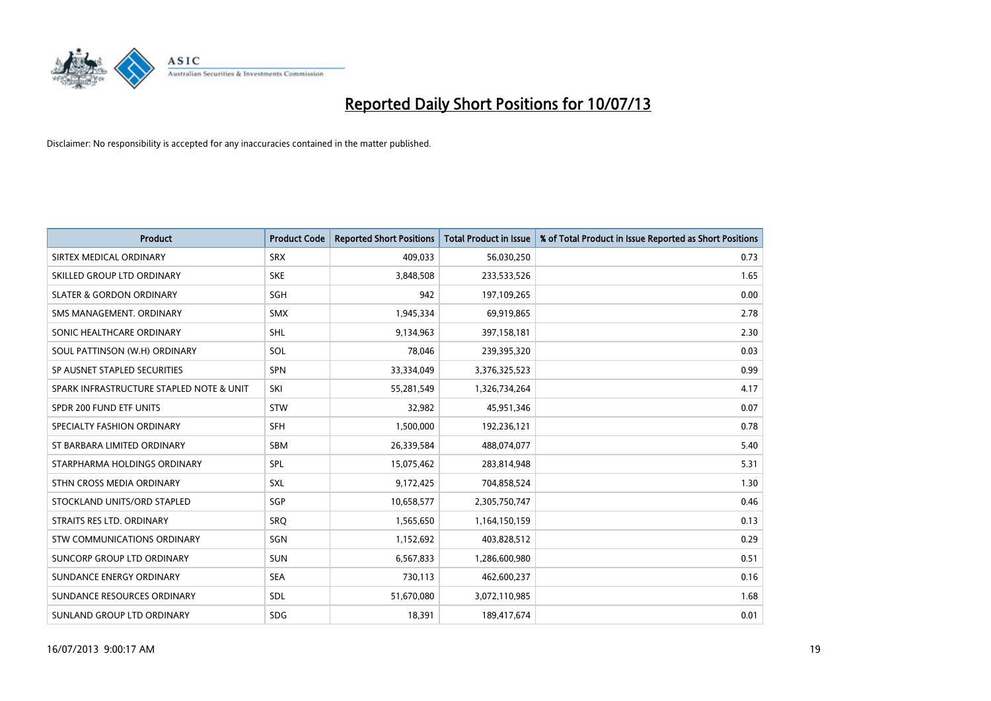

| <b>Product</b>                           | <b>Product Code</b> | <b>Reported Short Positions</b> | <b>Total Product in Issue</b> | % of Total Product in Issue Reported as Short Positions |
|------------------------------------------|---------------------|---------------------------------|-------------------------------|---------------------------------------------------------|
| SIRTEX MEDICAL ORDINARY                  | <b>SRX</b>          | 409,033                         | 56,030,250                    | 0.73                                                    |
| SKILLED GROUP LTD ORDINARY               | <b>SKE</b>          | 3,848,508                       | 233,533,526                   | 1.65                                                    |
| <b>SLATER &amp; GORDON ORDINARY</b>      | SGH                 | 942                             | 197,109,265                   | 0.00                                                    |
| SMS MANAGEMENT, ORDINARY                 | <b>SMX</b>          | 1,945,334                       | 69,919,865                    | 2.78                                                    |
| SONIC HEALTHCARE ORDINARY                | SHL                 | 9,134,963                       | 397,158,181                   | 2.30                                                    |
| SOUL PATTINSON (W.H) ORDINARY            | SOL                 | 78,046                          | 239,395,320                   | 0.03                                                    |
| SP AUSNET STAPLED SECURITIES             | <b>SPN</b>          | 33,334,049                      | 3,376,325,523                 | 0.99                                                    |
| SPARK INFRASTRUCTURE STAPLED NOTE & UNIT | SKI                 | 55,281,549                      | 1,326,734,264                 | 4.17                                                    |
| SPDR 200 FUND ETF UNITS                  | <b>STW</b>          | 32,982                          | 45,951,346                    | 0.07                                                    |
| SPECIALTY FASHION ORDINARY               | SFH                 | 1,500,000                       | 192,236,121                   | 0.78                                                    |
| ST BARBARA LIMITED ORDINARY              | <b>SBM</b>          | 26,339,584                      | 488,074,077                   | 5.40                                                    |
| STARPHARMA HOLDINGS ORDINARY             | <b>SPL</b>          | 15,075,462                      | 283,814,948                   | 5.31                                                    |
| STHN CROSS MEDIA ORDINARY                | SXL                 | 9,172,425                       | 704,858,524                   | 1.30                                                    |
| STOCKLAND UNITS/ORD STAPLED              | <b>SGP</b>          | 10,658,577                      | 2,305,750,747                 | 0.46                                                    |
| STRAITS RES LTD. ORDINARY                | SRO                 | 1,565,650                       | 1,164,150,159                 | 0.13                                                    |
| STW COMMUNICATIONS ORDINARY              | SGN                 | 1,152,692                       | 403,828,512                   | 0.29                                                    |
| SUNCORP GROUP LTD ORDINARY               | <b>SUN</b>          | 6,567,833                       | 1,286,600,980                 | 0.51                                                    |
| SUNDANCE ENERGY ORDINARY                 | <b>SEA</b>          | 730,113                         | 462,600,237                   | 0.16                                                    |
| SUNDANCE RESOURCES ORDINARY              | <b>SDL</b>          | 51,670,080                      | 3,072,110,985                 | 1.68                                                    |
| SUNLAND GROUP LTD ORDINARY               | <b>SDG</b>          | 18,391                          | 189,417,674                   | 0.01                                                    |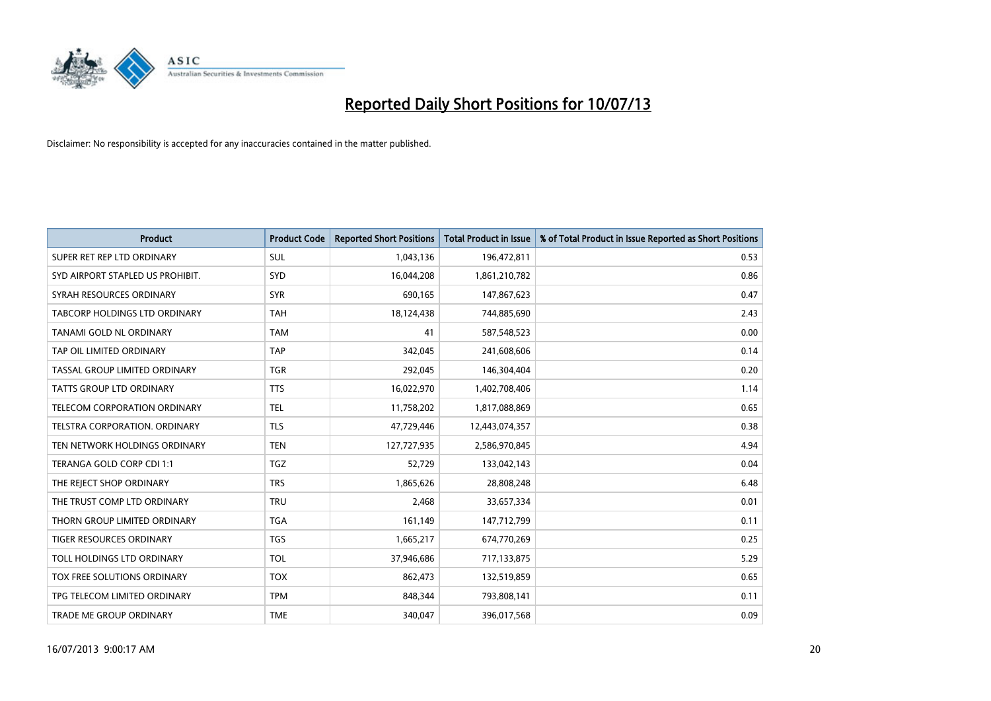

| <b>Product</b>                   | <b>Product Code</b> | <b>Reported Short Positions</b> | <b>Total Product in Issue</b> | % of Total Product in Issue Reported as Short Positions |
|----------------------------------|---------------------|---------------------------------|-------------------------------|---------------------------------------------------------|
| SUPER RET REP LTD ORDINARY       | <b>SUL</b>          | 1,043,136                       | 196,472,811                   | 0.53                                                    |
| SYD AIRPORT STAPLED US PROHIBIT. | <b>SYD</b>          | 16,044,208                      | 1,861,210,782                 | 0.86                                                    |
| SYRAH RESOURCES ORDINARY         | <b>SYR</b>          | 690,165                         | 147,867,623                   | 0.47                                                    |
| TABCORP HOLDINGS LTD ORDINARY    | <b>TAH</b>          | 18,124,438                      | 744,885,690                   | 2.43                                                    |
| TANAMI GOLD NL ORDINARY          | <b>TAM</b>          | 41                              | 587,548,523                   | 0.00                                                    |
| TAP OIL LIMITED ORDINARY         | <b>TAP</b>          | 342,045                         | 241,608,606                   | 0.14                                                    |
| TASSAL GROUP LIMITED ORDINARY    | <b>TGR</b>          | 292,045                         | 146,304,404                   | 0.20                                                    |
| TATTS GROUP LTD ORDINARY         | <b>TTS</b>          | 16,022,970                      | 1,402,708,406                 | 1.14                                                    |
| TELECOM CORPORATION ORDINARY     | <b>TEL</b>          | 11,758,202                      | 1,817,088,869                 | 0.65                                                    |
| TELSTRA CORPORATION, ORDINARY    | <b>TLS</b>          | 47,729,446                      | 12,443,074,357                | 0.38                                                    |
| TEN NETWORK HOLDINGS ORDINARY    | <b>TEN</b>          | 127,727,935                     | 2,586,970,845                 | 4.94                                                    |
| TERANGA GOLD CORP CDI 1:1        | <b>TGZ</b>          | 52,729                          | 133,042,143                   | 0.04                                                    |
| THE REJECT SHOP ORDINARY         | <b>TRS</b>          | 1,865,626                       | 28,808,248                    | 6.48                                                    |
| THE TRUST COMP LTD ORDINARY      | <b>TRU</b>          | 2,468                           | 33,657,334                    | 0.01                                                    |
| THORN GROUP LIMITED ORDINARY     | <b>TGA</b>          | 161,149                         | 147,712,799                   | 0.11                                                    |
| TIGER RESOURCES ORDINARY         | <b>TGS</b>          | 1,665,217                       | 674,770,269                   | 0.25                                                    |
| TOLL HOLDINGS LTD ORDINARY       | <b>TOL</b>          | 37,946,686                      | 717,133,875                   | 5.29                                                    |
| TOX FREE SOLUTIONS ORDINARY      | <b>TOX</b>          | 862,473                         | 132,519,859                   | 0.65                                                    |
| TPG TELECOM LIMITED ORDINARY     | <b>TPM</b>          | 848,344                         | 793,808,141                   | 0.11                                                    |
| TRADE ME GROUP ORDINARY          | <b>TME</b>          | 340,047                         | 396,017,568                   | 0.09                                                    |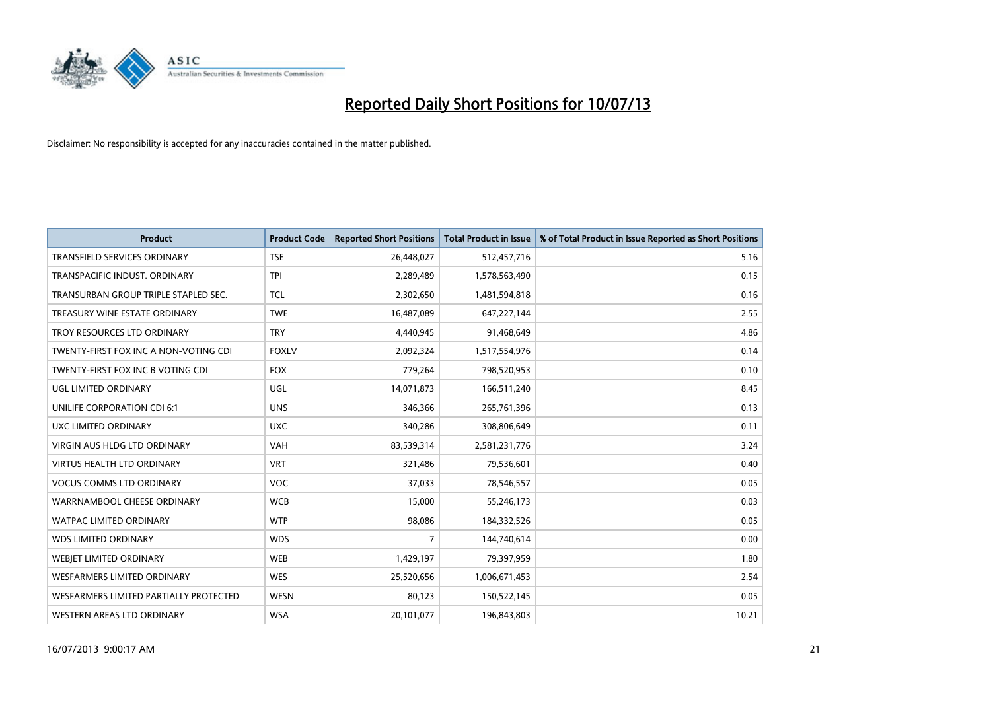

| <b>Product</b>                         | <b>Product Code</b> | <b>Reported Short Positions</b> | <b>Total Product in Issue</b> | % of Total Product in Issue Reported as Short Positions |
|----------------------------------------|---------------------|---------------------------------|-------------------------------|---------------------------------------------------------|
| <b>TRANSFIELD SERVICES ORDINARY</b>    | <b>TSE</b>          | 26,448,027                      | 512,457,716                   | 5.16                                                    |
| TRANSPACIFIC INDUST. ORDINARY          | <b>TPI</b>          | 2,289,489                       | 1,578,563,490                 | 0.15                                                    |
| TRANSURBAN GROUP TRIPLE STAPLED SEC.   | TCL                 | 2,302,650                       | 1,481,594,818                 | 0.16                                                    |
| TREASURY WINE ESTATE ORDINARY          | <b>TWE</b>          | 16,487,089                      | 647,227,144                   | 2.55                                                    |
| TROY RESOURCES LTD ORDINARY            | <b>TRY</b>          | 4,440,945                       | 91,468,649                    | 4.86                                                    |
| TWENTY-FIRST FOX INC A NON-VOTING CDI  | <b>FOXLV</b>        | 2,092,324                       | 1,517,554,976                 | 0.14                                                    |
| TWENTY-FIRST FOX INC B VOTING CDI      | <b>FOX</b>          | 779,264                         | 798,520,953                   | 0.10                                                    |
| UGL LIMITED ORDINARY                   | UGL                 | 14,071,873                      | 166,511,240                   | 8.45                                                    |
| UNILIFE CORPORATION CDI 6:1            | <b>UNS</b>          | 346,366                         | 265,761,396                   | 0.13                                                    |
| <b>UXC LIMITED ORDINARY</b>            | <b>UXC</b>          | 340,286                         | 308,806,649                   | 0.11                                                    |
| <b>VIRGIN AUS HLDG LTD ORDINARY</b>    | <b>VAH</b>          | 83,539,314                      | 2,581,231,776                 | 3.24                                                    |
| VIRTUS HEALTH LTD ORDINARY             | <b>VRT</b>          | 321,486                         | 79,536,601                    | 0.40                                                    |
| <b>VOCUS COMMS LTD ORDINARY</b>        | VOC                 | 37,033                          | 78,546,557                    | 0.05                                                    |
| WARRNAMBOOL CHEESE ORDINARY            | <b>WCB</b>          | 15,000                          | 55,246,173                    | 0.03                                                    |
| <b>WATPAC LIMITED ORDINARY</b>         | <b>WTP</b>          | 98,086                          | 184,332,526                   | 0.05                                                    |
| <b>WDS LIMITED ORDINARY</b>            | <b>WDS</b>          | 7                               | 144,740,614                   | 0.00                                                    |
| <b>WEBIET LIMITED ORDINARY</b>         | <b>WEB</b>          | 1,429,197                       | 79,397,959                    | 1.80                                                    |
| <b>WESFARMERS LIMITED ORDINARY</b>     | <b>WES</b>          | 25,520,656                      | 1,006,671,453                 | 2.54                                                    |
| WESFARMERS LIMITED PARTIALLY PROTECTED | <b>WESN</b>         | 80,123                          | 150,522,145                   | 0.05                                                    |
| WESTERN AREAS LTD ORDINARY             | <b>WSA</b>          | 20,101,077                      | 196,843,803                   | 10.21                                                   |